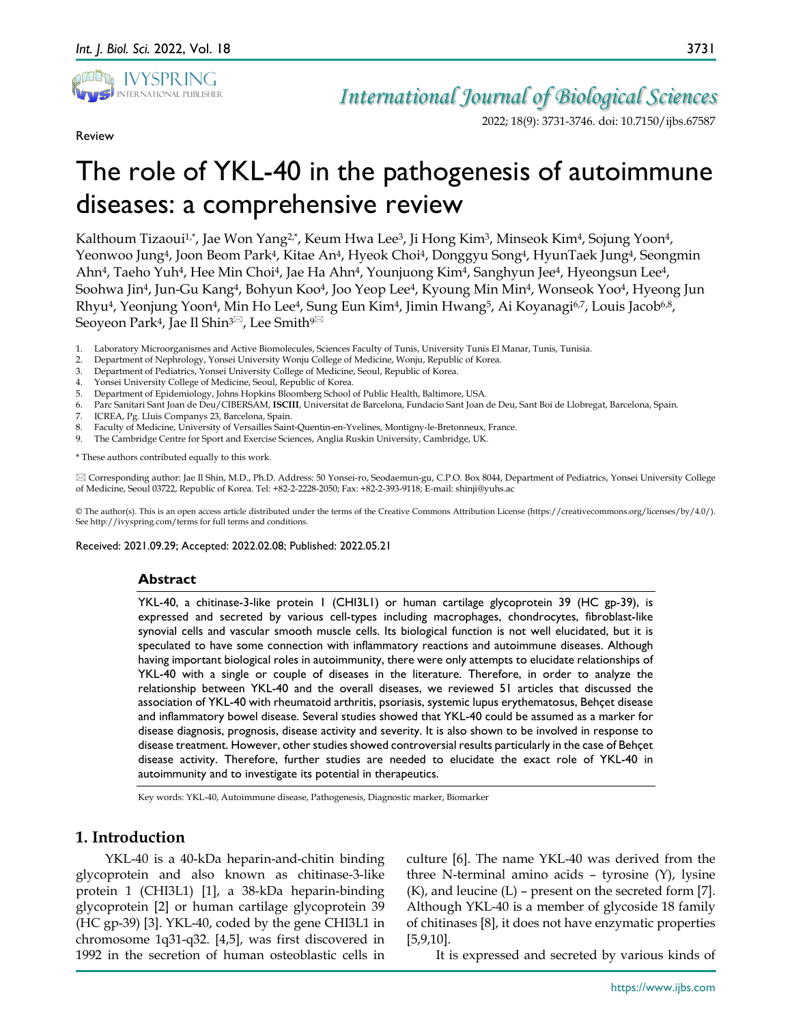

Review

# *International Journal of Biological Sciences*

2022; 18(9): 3731-3746. doi: 10.7150/ijbs.67587

# The role of YKL-40 in the pathogenesis of autoimmune diseases: a comprehensive review

Kalthoum Tizaoui<sup>1,\*</sup>, Jae Won Yang<sup>2,\*</sup>, Keum Hwa Lee<sup>3</sup>, Ji Hong Kim<sup>3</sup>, Minseok Kim<sup>4</sup>, Sojung Yoon<sup>4</sup>, Yeonwoo Jung4, Joon Beom Park4, Kitae An4, Hyeok Choi4, Donggyu Song4, HyunTaek Jung4, Seongmin Ahn4, Taeho Yuh4, Hee Min Choi4, Jae Ha Ahn4, Younjuong Kim4, Sanghyun Jee4, Hyeongsun Lee4, Soohwa Jin4, Jun-Gu Kang4, Bohyun Koo4, Joo Yeop Lee4, Kyoung Min Min4, Wonseok Yoo4, Hyeong Jun Rhyu<sup>4</sup>, Yeonjung Yoon<sup>4</sup>, Min Ho Lee<sup>4</sup>, Sung Eun Kim<sup>4</sup>, Jimin Hwang<sup>5</sup>, Ai Koyanagi<sup>6,7</sup>, Louis Jacob<sup>6,8</sup>, Seoyeon Park<sup>4</sup>, Jae Il Shin<sup>3 $\overline{\mathbb{Z}}$ , Lee Smith<sup>9 $\overline{\mathbb{Z}}$ </sup></sup>

- 1. Laboratory Microorganismes and Active Biomolecules, Sciences Faculty of Tunis, University Tunis El Manar, Tunis, Tunisia.
- 2. Department of Nephrology, Yonsei University Wonju College of Medicine, Wonju, Republic of Korea.
- 3. Department of Pediatrics, Yonsei University College of Medicine, Seoul, Republic of Korea.
- 4. Yonsei University College of Medicine, Seoul, Republic of Korea.
- 5. Department of Epidemiology, Johns Hopkins Bloomberg School of Public Health, Baltimore, USA.
- 6. Parc Sanitari Sant Joan de Deu/CIBERSAM, **ISCIII**, Universitat de Barcelona, Fundacio Sant Joan de Deu, Sant Boi de Llobregat, Barcelona, Spain.
- ICREA, Pg. Lluis Companys 23, Barcelona, Spain.
- 8. Faculty of Medicine, University of Versailles Saint-Quentin-en-Yvelines, Montigny-le-Bretonneux, France.
- 9. The Cambridge Centre for Sport and Exercise Sciences, Anglia Ruskin University, Cambridge, UK.

\* These authors contributed equally to this work.

 Corresponding author: Jae Il Shin, M.D., Ph.D. Address: 50 Yonsei-ro, Seodaemun-gu, C.P.O. Box 8044, Department of Pediatrics, Yonsei University College of Medicine, Seoul 03722, Republic of Korea. Tel: +82-2-2228-2050; Fax: +82-2-393-9118; E-mail: shinji@yuhs.ac

© The author(s). This is an open access article distributed under the terms of the Creative Commons Attribution License (https://creativecommons.org/licenses/by/4.0/). See http://ivyspring.com/terms for full terms and conditions.

Received: 2021.09.29; Accepted: 2022.02.08; Published: 2022.05.21

## **Abstract**

YKL-40, a chitinase-3-like protein 1 (CHI3L1) or human cartilage glycoprotein 39 (HC gp-39), is expressed and secreted by various cell-types including macrophages, chondrocytes, fibroblast-like synovial cells and vascular smooth muscle cells. Its biological function is not well elucidated, but it is speculated to have some connection with inflammatory reactions and autoimmune diseases. Although having important biological roles in autoimmunity, there were only attempts to elucidate relationships of YKL-40 with a single or couple of diseases in the literature. Therefore, in order to analyze the relationship between YKL-40 and the overall diseases, we reviewed 51 articles that discussed the association of YKL-40 with rheumatoid arthritis, psoriasis, systemic lupus erythematosus, Behçet disease and inflammatory bowel disease. Several studies showed that YKL-40 could be assumed as a marker for disease diagnosis, prognosis, disease activity and severity. It is also shown to be involved in response to disease treatment. However, other studies showed controversial results particularly in the case of Behçet disease activity. Therefore, further studies are needed to elucidate the exact role of YKL-40 in autoimmunity and to investigate its potential in therapeutics.

Key words: YKL-40, Autoimmune disease, Pathogenesis, Diagnostic marker, Biomarker

# **1. Introduction**

YKL-40 is a 40-kDa heparin-and-chitin binding glycoprotein and also known as chitinase-3-like protein 1 (CHI3L1) [1], a 38-kDa heparin-binding glycoprotein [2] or human cartilage glycoprotein 39 (HC gp-39) [3]. YKL-40, coded by the gene CHI3L1 in chromosome 1q31-q32. [4,5], was first discovered in 1992 in the secretion of human osteoblastic cells in

culture [6]. The name YKL-40 was derived from the three N-terminal amino acids – tyrosine (Y), lysine  $(K)$ , and leucine  $(L)$  – present on the secreted form [7]. Although YKL-40 is a member of glycoside 18 family of chitinases [8], it does not have enzymatic properties [5,9,10].

It is expressed and secreted by various kinds of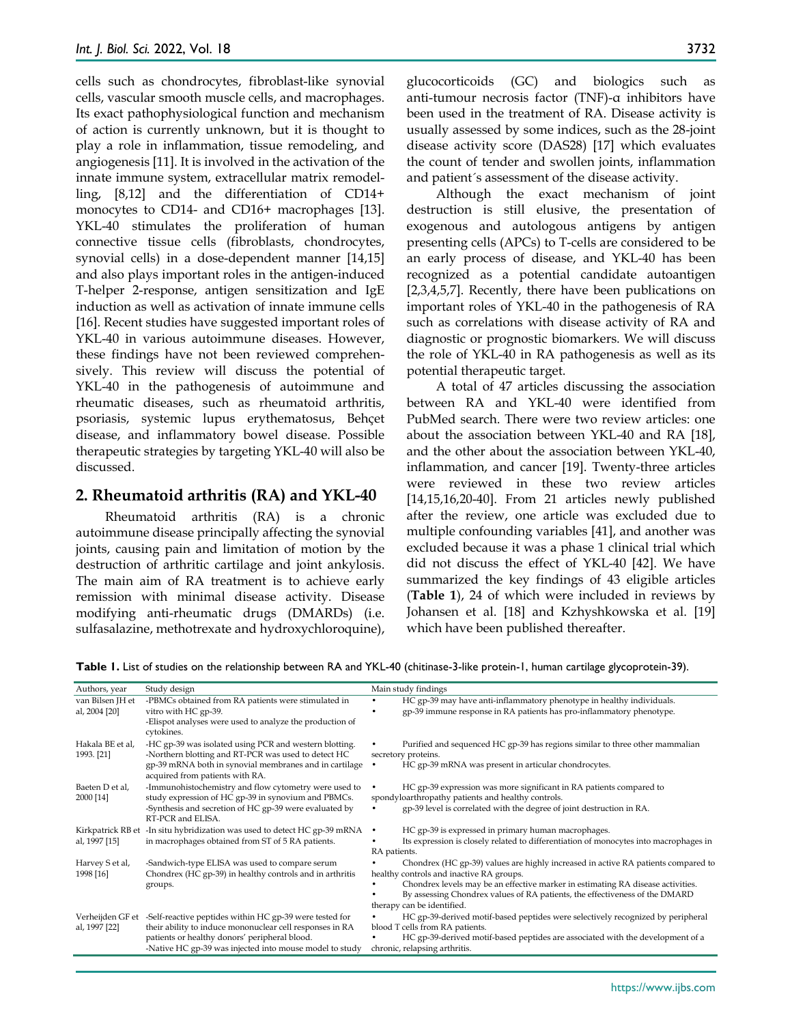cells such as chondrocytes, fibroblast-like synovial cells, vascular smooth muscle cells, and macrophages. Its exact pathophysiological function and mechanism of action is currently unknown, but it is thought to play a role in inflammation, tissue remodeling, and angiogenesis [11]. It is involved in the activation of the innate immune system, extracellular matrix remodelling, [8,12] and the differentiation of CD14+ monocytes to CD14- and CD16+ macrophages [13]. YKL-40 stimulates the proliferation of human connective tissue cells (fibroblasts, chondrocytes, synovial cells) in a dose-dependent manner [14,15] and also plays important roles in the antigen-induced T-helper 2-response, antigen sensitization and IgE induction as well as activation of innate immune cells [16]. Recent studies have suggested important roles of YKL-40 in various autoimmune diseases. However, these findings have not been reviewed comprehensively. This review will discuss the potential of YKL-40 in the pathogenesis of autoimmune and rheumatic diseases, such as rheumatoid arthritis, psoriasis, systemic lupus erythematosus, Behçet disease, and inflammatory bowel disease. Possible therapeutic strategies by targeting YKL-40 will also be discussed.

## **2. Rheumatoid arthritis (RA) and YKL-40**

Rheumatoid arthritis (RA) is a chronic autoimmune disease principally affecting the synovial joints, causing pain and limitation of motion by the destruction of arthritic cartilage and joint ankylosis. The main aim of RA treatment is to achieve early remission with minimal disease activity. Disease modifying anti-rheumatic drugs (DMARDs) (i.e. sulfasalazine, methotrexate and hydroxychloroquine),

glucocorticoids (GC) and biologics such as anti-tumour necrosis factor (TNF)-α inhibitors have been used in the treatment of RA. Disease activity is usually assessed by some indices, such as the 28-joint disease activity score (DAS28) [17] which evaluates the count of tender and swollen joints, inflammation and patient´s assessment of the disease activity.

Although the exact mechanism of joint destruction is still elusive, the presentation of exogenous and autologous antigens by antigen presenting cells (APCs) to T-cells are considered to be an early process of disease, and YKL-40 has been recognized as a potential candidate autoantigen [2,3,4,5,7]. Recently, there have been publications on important roles of YKL-40 in the pathogenesis of RA such as correlations with disease activity of RA and diagnostic or prognostic biomarkers. We will discuss the role of YKL-40 in RA pathogenesis as well as its potential therapeutic target.

A total of 47 articles discussing the association between RA and YKL-40 were identified from PubMed search. There were two review articles: one about the association between YKL-40 and RA [18], and the other about the association between YKL-40, inflammation, and cancer [19]. Twenty-three articles were reviewed in these two review articles [14,15,16,20-40]. From 21 articles newly published after the review, one article was excluded due to multiple confounding variables [41], and another was excluded because it was a phase 1 clinical trial which did not discuss the effect of YKL-40 [42]. We have summarized the key findings of 43 eligible articles (**Table 1**), 24 of which were included in reviews by Johansen et al. [18] and Kzhyshkowska et al. [19] which have been published thereafter.

| Authors, year                     | Study design                                                                                                        | Main study findings                                                                                                                           |  |  |  |
|-----------------------------------|---------------------------------------------------------------------------------------------------------------------|-----------------------------------------------------------------------------------------------------------------------------------------------|--|--|--|
| van Bilsen JH et<br>al, 2004 [20] | -PBMCs obtained from RA patients were stimulated in<br>vitro with HC gp-39.                                         | HC gp-39 may have anti-inflammatory phenotype in healthy individuals.<br>gp-39 immune response in RA patients has pro-inflammatory phenotype. |  |  |  |
|                                   | -Elispot analyses were used to analyze the production of<br>cytokines.                                              |                                                                                                                                               |  |  |  |
| Hakala BE et al,<br>1993. [21]    | -HC gp-39 was isolated using PCR and western blotting.<br>-Northern blotting and RT-PCR was used to detect HC       | Purified and sequenced HC gp-39 has regions similar to three other mammalian<br>secretory proteins.                                           |  |  |  |
|                                   | gp-39 mRNA both in synovial membranes and in cartilage<br>acquired from patients with RA.                           | HC gp-39 mRNA was present in articular chondrocytes.                                                                                          |  |  |  |
| Baeten D et al.<br>2000 [14]      | -Immunohistochemistry and flow cytometry were used to<br>study expression of HC gp-39 in synovium and PBMCs.        | HC gp-39 expression was more significant in RA patients compared to<br>spondyloarthropathy patients and healthy controls.                     |  |  |  |
|                                   | -Synthesis and secretion of HC gp-39 were evaluated by<br>RT-PCR and ELISA.                                         | gp-39 level is correlated with the degree of joint destruction in RA.                                                                         |  |  |  |
| Kirkpatrick RB et                 | -In situ hybridization was used to detect HC gp-39 mRNA                                                             | HC gp-39 is expressed in primary human macrophages.                                                                                           |  |  |  |
| al, 1997 [15]                     | in macrophages obtained from ST of 5 RA patients.                                                                   | Its expression is closely related to differentiation of monocytes into macrophages in<br>RA patients.                                         |  |  |  |
| Harvey S et al,<br>1998 [16]      | -Sandwich-type ELISA was used to compare serum<br>Chondrex (HC gp-39) in healthy controls and in arthritis          | Chondrex (HC gp-39) values are highly increased in active RA patients compared to<br>healthy controls and inactive RA groups.                 |  |  |  |
|                                   | groups.                                                                                                             | Chondrex levels may be an effective marker in estimating RA disease activities.                                                               |  |  |  |
|                                   |                                                                                                                     | By assessing Chondrex values of RA patients, the effectiveness of the DMARD<br>therapy can be identified.                                     |  |  |  |
| Verheijden GF et<br>al, 1997 [22] | -Self-reactive peptides within HC gp-39 were tested for<br>their ability to induce mononuclear cell responses in RA | HC gp-39-derived motif-based peptides were selectively recognized by peripheral<br>blood T cells from RA patients.                            |  |  |  |
|                                   | patients or healthy donors' peripheral blood.<br>-Native HC gp-39 was injected into mouse model to study            | HC gp-39-derived motif-based peptides are associated with the development of a<br>chronic, relapsing arthritis.                               |  |  |  |

Table 1. List of studies on the relationship between RA and YKL-40 (chitinase-3-like protein-1, human cartilage glycoprotein-39).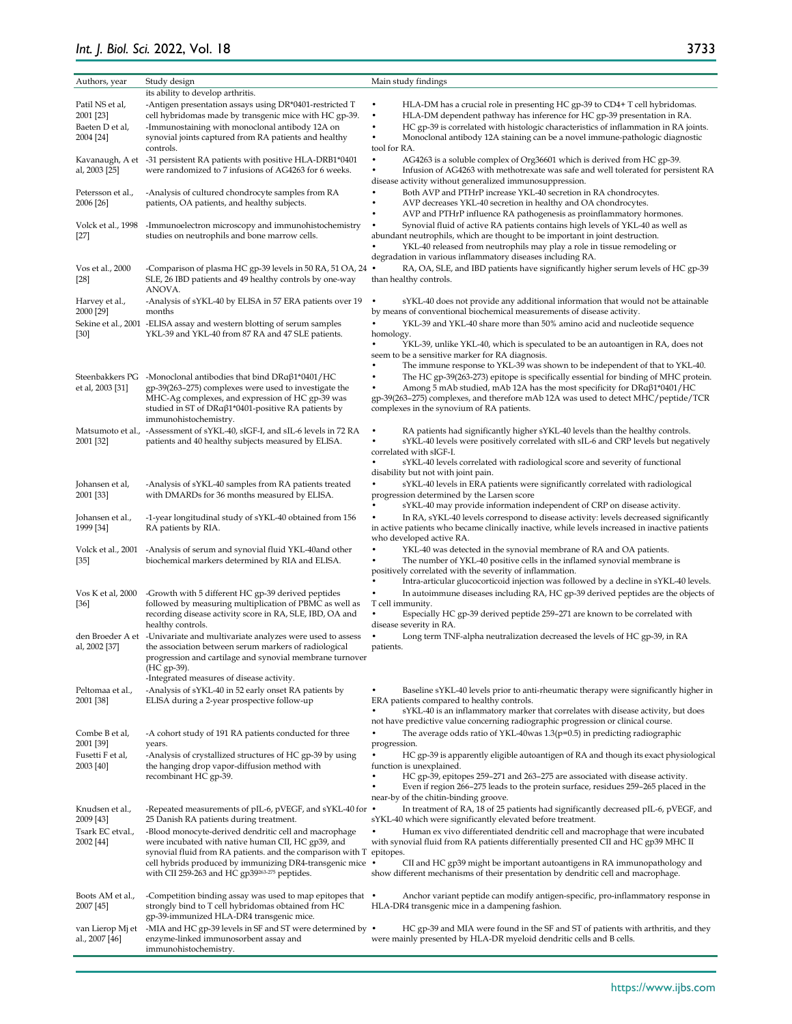# *Int. J. Biol. Sci.* 2022, Vol. 18

| Authors, year             | Study design                                                                                                                    | Main study findings                                                                                                                                               |  |  |
|---------------------------|---------------------------------------------------------------------------------------------------------------------------------|-------------------------------------------------------------------------------------------------------------------------------------------------------------------|--|--|
|                           | its ability to develop arthritis.                                                                                               |                                                                                                                                                                   |  |  |
| Patil NS et al,           | -Antigen presentation assays using DR*0401-restricted T                                                                         | HLA-DM has a crucial role in presenting HC gp-39 to CD4+ T cell hybridomas.                                                                                       |  |  |
| 2001 [23]                 | cell hybridomas made by transgenic mice with HC gp-39.                                                                          | HLA-DM dependent pathway has inference for HC gp-39 presentation in RA.                                                                                           |  |  |
| Baeten D et al,           | -Immunostaining with monoclonal antibody 12A on                                                                                 | HC gp-39 is correlated with histologic characteristics of inflammation in RA joints.                                                                              |  |  |
| 2004 [24]                 | synovial joints captured from RA patients and healthy                                                                           | Monoclonal antibody 12A staining can be a novel immune-pathologic diagnostic                                                                                      |  |  |
|                           | controls.                                                                                                                       | tool for RA.                                                                                                                                                      |  |  |
|                           | Kavanaugh, A et -31 persistent RA patients with positive HLA-DRB1*0401                                                          | ۰<br>AG4263 is a soluble complex of Org36601 which is derived from HC gp-39.                                                                                      |  |  |
| al, 2003 [25]             | were randomized to 7 infusions of AG4263 for 6 weeks.                                                                           | Infusion of AG4263 with methotrexate was safe and well tolerated for persistent RA<br>disease activity without generalized immunosuppression.                     |  |  |
| Petersson et al.,         | -Analysis of cultured chondrocyte samples from RA                                                                               | Both AVP and PTHrP increase YKL-40 secretion in RA chondrocytes.                                                                                                  |  |  |
| 2006 [26]                 | patients, OA patients, and healthy subjects.                                                                                    | AVP decreases YKL-40 secretion in healthy and OA chondrocytes.                                                                                                    |  |  |
|                           |                                                                                                                                 | AVP and PTHrP influence RA pathogenesis as proinflammatory hormones.                                                                                              |  |  |
| Volck et al., 1998        | -Immunoelectron microscopy and immunohistochemistry                                                                             | Synovial fluid of active RA patients contains high levels of YKL-40 as well as                                                                                    |  |  |
| $[27]$                    | studies on neutrophils and bone marrow cells.                                                                                   | abundant neutrophils, which are thought to be important in joint destruction.                                                                                     |  |  |
|                           |                                                                                                                                 | YKL-40 released from neutrophils may play a role in tissue remodeling or<br>degradation in various inflammatory diseases including RA.                            |  |  |
| Vos et al., 2000          | -Comparison of plasma HC gp-39 levels in 50 RA, 51 OA, 24                                                                       | RA, OA, SLE, and IBD patients have significantly higher serum levels of HC gp-39                                                                                  |  |  |
| $[28]$                    | SLE, 26 IBD patients and 49 healthy controls by one-way                                                                         | than healthy controls.                                                                                                                                            |  |  |
|                           | ANOVA.                                                                                                                          |                                                                                                                                                                   |  |  |
| Harvey et al.,            | -Analysis of sYKL-40 by ELISA in 57 ERA patients over 19                                                                        | sYKL-40 does not provide any additional information that would not be attainable<br>$\bullet$                                                                     |  |  |
| 2000 [29]                 | months                                                                                                                          | by means of conventional biochemical measurements of disease activity.                                                                                            |  |  |
| [30]                      | Sekine et al., 2001 - ELISA assay and western blotting of serum samples<br>YKL-39 and YKL-40 from 87 RA and 47 SLE patients.    | YKL-39 and YKL-40 share more than 50% amino acid and nucleotide sequence<br>homology.                                                                             |  |  |
|                           |                                                                                                                                 | YKL-39, unlike YKL-40, which is speculated to be an autoantigen in RA, does not                                                                                   |  |  |
|                           |                                                                                                                                 | seem to be a sensitive marker for RA diagnosis.                                                                                                                   |  |  |
|                           |                                                                                                                                 | The immune response to YKL-39 was shown to be independent of that to YKL-40.                                                                                      |  |  |
|                           | Steenbakkers $PG$ -Monoclonal antibodies that bind $DRa\beta1*0401/HC$                                                          | The HC gp-39(263-273) epitope is specifically essential for binding of MHC protein.                                                                               |  |  |
| et al, 2003 [31]          | gp-39(263-275) complexes were used to investigate the                                                                           | Among 5 mAb studied, mAb 12A has the most specificity for DRαβ1*0401/HC                                                                                           |  |  |
|                           | MHC-Ag complexes, and expression of HC gp-39 was<br>studied in ST of DRαβ1*0401-positive RA patients by                         | gp-39(263-275) complexes, and therefore mAb 12A was used to detect MHC/peptide/TCR<br>complexes in the synovium of RA patients.                                   |  |  |
|                           | immunohistochemistry.                                                                                                           |                                                                                                                                                                   |  |  |
| Matsumoto et al.,         | -Assessment of sYKL-40, sIGF-I, and sIL-6 levels in 72 RA                                                                       | RA patients had significantly higher sYKL-40 levels than the healthy controls.                                                                                    |  |  |
| 2001 [32]                 | patients and 40 healthy subjects measured by ELISA.                                                                             | sYKL-40 levels were positively correlated with sIL-6 and CRP levels but negatively                                                                                |  |  |
|                           |                                                                                                                                 | correlated with sIGF-I.<br>٠                                                                                                                                      |  |  |
|                           |                                                                                                                                 | sYKL-40 levels correlated with radiological score and severity of functional<br>disability but not with joint pain.                                               |  |  |
| Johansen et al,           | -Analysis of sYKL-40 samples from RA patients treated                                                                           | sYKL-40 levels in ERA patients were significantly correlated with radiological                                                                                    |  |  |
| 2001 [33]                 | with DMARDs for 36 months measured by ELISA.                                                                                    | progression determined by the Larsen score                                                                                                                        |  |  |
|                           |                                                                                                                                 | sYKL-40 may provide information independent of CRP on disease activity.                                                                                           |  |  |
| Johansen et al.,          | -1-year longitudinal study of sYKL-40 obtained from 156                                                                         | In RA, sYKL-40 levels correspond to disease activity: levels decreased significantly                                                                              |  |  |
| 1999 [34]                 | RA patients by RIA.                                                                                                             | in active patients who became clinically inactive, while levels increased in inactive patients<br>who developed active RA.                                        |  |  |
| Volck et al., 2001        | -Analysis of serum and synovial fluid YKL-40and other                                                                           | YKL-40 was detected in the synovial membrane of RA and OA patients.                                                                                               |  |  |
| $[35]$                    | biochemical markers determined by RIA and ELISA.                                                                                | The number of YKL-40 positive cells in the inflamed synovial membrane is                                                                                          |  |  |
|                           |                                                                                                                                 | positively correlated with the severity of inflammation.                                                                                                          |  |  |
|                           |                                                                                                                                 | Intra-articular glucocorticoid injection was followed by a decline in sYKL-40 levels.                                                                             |  |  |
| Vos K et al, 2000<br>[36] | -Growth with 5 different HC gp-39 derived peptides<br>followed by measuring multiplication of PBMC as well as                   | In autoimmune diseases including RA, HC gp-39 derived peptides are the objects of<br>T cell immunity.                                                             |  |  |
|                           | recording disease activity score in RA, SLE, IBD, OA and                                                                        | Especially HC gp-39 derived peptide 259–271 are known to be correlated with                                                                                       |  |  |
|                           | healthy controls.                                                                                                               | disease severity in RA.                                                                                                                                           |  |  |
|                           | den Broeder A et -Univariate and multivariate analyzes were used to assess                                                      | Long term TNF-alpha neutralization decreased the levels of HC gp-39, in RA                                                                                        |  |  |
| al, 2002 <sup>[37]</sup>  | the association between serum markers of radiological                                                                           | patients.                                                                                                                                                         |  |  |
|                           | progression and cartilage and synovial membrane turnover<br>(HC gp-39).                                                         |                                                                                                                                                                   |  |  |
|                           | -Integrated measures of disease activity.                                                                                       |                                                                                                                                                                   |  |  |
| Peltomaa et al.,          | -Analysis of sYKL-40 in 52 early onset RA patients by                                                                           | Baseline sYKL-40 levels prior to anti-rheumatic therapy were significantly higher in                                                                              |  |  |
| 2001 [38]                 | ELISA during a 2-year prospective follow-up                                                                                     | ERA patients compared to healthy controls.                                                                                                                        |  |  |
|                           |                                                                                                                                 | sYKL-40 is an inflammatory marker that correlates with disease activity, but does                                                                                 |  |  |
| Combe B et al,            | -A cohort study of 191 RA patients conducted for three                                                                          | not have predictive value concerning radiographic progression or clinical course.<br>The average odds ratio of YKL-40 was $1.3(p=0.5)$ in predicting radiographic |  |  |
| 2001 [39]                 | years.                                                                                                                          | progression.                                                                                                                                                      |  |  |
| Fusetti F et al,          | -Analysis of crystallized structures of HC gp-39 by using                                                                       | HC gp-39 is apparently eligible autoantigen of RA and though its exact physiological                                                                              |  |  |
| 2003 [40]                 | the hanging drop vapor-diffusion method with                                                                                    | function is unexplained.                                                                                                                                          |  |  |
|                           | recombinant HC gp-39.                                                                                                           | HC gp-39, epitopes 259-271 and 263-275 are associated with disease activity.                                                                                      |  |  |
|                           |                                                                                                                                 | Even if region 266-275 leads to the protein surface, residues 259-265 placed in the<br>near-by of the chitin-binding groove.                                      |  |  |
| Knudsen et al.,           | -Repeated measurements of pIL-6, pVEGF, and sYKL-40 for •                                                                       | In treatment of RA, 18 of 25 patients had significantly decreased pIL-6, pVEGF, and                                                                               |  |  |
| 2009 [43]                 | 25 Danish RA patients during treatment.                                                                                         | sYKL-40 which were significantly elevated before treatment.                                                                                                       |  |  |
| Tsark EC etval.,          | -Blood monocyte-derived dendritic cell and macrophage                                                                           | Human ex vivo differentiated dendritic cell and macrophage that were incubated                                                                                    |  |  |
| 2002 [44]                 | were incubated with native human CII, HC gp39, and                                                                              | with synovial fluid from RA patients differentially presented CII and HC gp39 MHC II                                                                              |  |  |
|                           | synovial fluid from RA patients. and the comparison with T epitopes.<br>cell hybrids produced by immunizing DR4-transgenic mice | $\bullet$<br>CII and HC gp39 might be important autoantigens in RA immunopathology and                                                                            |  |  |
|                           | with CII 259-263 and HC gp39263-275 peptides.                                                                                   | show different mechanisms of their presentation by dendritic cell and macrophage.                                                                                 |  |  |
|                           |                                                                                                                                 |                                                                                                                                                                   |  |  |
| Boots AM et al.,          | -Competition binding assay was used to map epitopes that                                                                        | Anchor variant peptide can modify antigen-specific, pro-inflammatory response in<br>$\bullet$                                                                     |  |  |
| 2007 [45]                 | strongly bind to T cell hybridomas obtained from HC<br>gp-39-immunized HLA-DR4 transgenic mice.                                 | HLA-DR4 transgenic mice in a dampening fashion.                                                                                                                   |  |  |
| van Lierop Mj et          | -MIA and HC gp-39 levels in SF and ST were determined by $\bullet$                                                              | HC gp-39 and MIA were found in the SF and ST of patients with arthritis, and they                                                                                 |  |  |
| al., 2007 [46]            | enzyme-linked immunosorbent assay and                                                                                           | were mainly presented by HLA-DR myeloid dendritic cells and B cells.                                                                                              |  |  |
|                           | immunohistochemistry.                                                                                                           |                                                                                                                                                                   |  |  |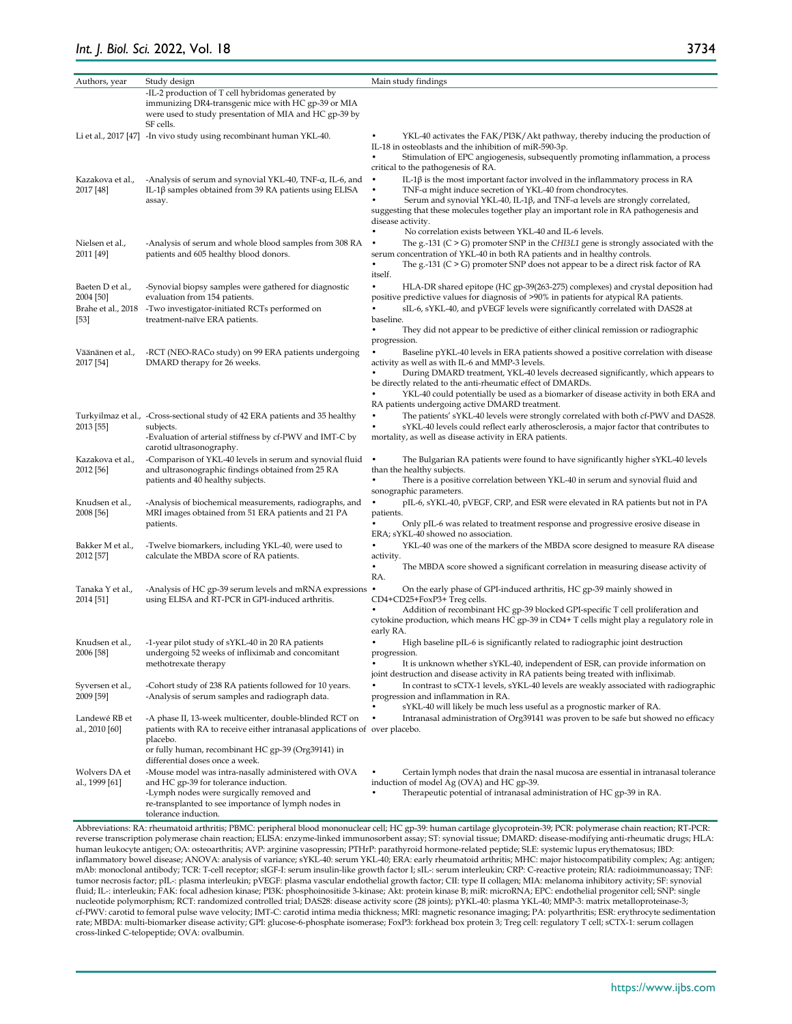| Authors, year                                               | Study design                                                                                                                                                                                                                                | Main study findings                                                                                                                                                                                                                                                                                                                                                                                                    |
|-------------------------------------------------------------|---------------------------------------------------------------------------------------------------------------------------------------------------------------------------------------------------------------------------------------------|------------------------------------------------------------------------------------------------------------------------------------------------------------------------------------------------------------------------------------------------------------------------------------------------------------------------------------------------------------------------------------------------------------------------|
|                                                             | -IL-2 production of T cell hybridomas generated by<br>immunizing DR4-transgenic mice with HC gp-39 or MIA<br>were used to study presentation of MIA and HC gp-39 by<br>SF cells.                                                            |                                                                                                                                                                                                                                                                                                                                                                                                                        |
|                                                             | Li et al., 2017 [47] -In vivo study using recombinant human YKL-40.                                                                                                                                                                         | YKL-40 activates the FAK/PI3K/Akt pathway, thereby inducing the production of<br>IL-18 in osteoblasts and the inhibition of miR-590-3p.<br>Stimulation of EPC angiogenesis, subsequently promoting inflammation, a process<br>critical to the pathogenesis of RA.                                                                                                                                                      |
| Kazakova et al.,<br>2017 [48]                               | -Analysis of serum and synovial YKL-40, TNF-a, IL-6, and<br>IL-1β samples obtained from 39 RA patients using ELISA<br>assay.                                                                                                                | IL-1β is the most important factor involved in the inflammatory process in RA<br>$\bullet$<br>TNF-a might induce secretion of YKL-40 from chondrocytes.<br>Serum and synovial YKL-40, IL-1β, and TNF- $\alpha$ levels are strongly correlated,<br>suggesting that these molecules together play an important role in RA pathogenesis and<br>disease activity.<br>No correlation exists between YKL-40 and IL-6 levels. |
| Nielsen et al.,<br>2011 [49]                                | -Analysis of serum and whole blood samples from 308 RA<br>patients and 605 healthy blood donors.                                                                                                                                            | The g.-131 ( $C > G$ ) promoter SNP in the <i>CHI3L1</i> gene is strongly associated with the<br>$\bullet$<br>serum concentration of YKL-40 in both RA patients and in healthy controls.<br>The g.-131 ( $C > G$ ) promoter SNP does not appear to be a direct risk factor of RA<br>itself.                                                                                                                            |
| Baeten D et al.,<br>2004 [50]<br>Brahe et al., 2018<br>[53] | -Synovial biopsy samples were gathered for diagnostic<br>evaluation from 154 patients.<br>-Two investigator-initiated RCTs performed on<br>treatment-naïve ERA patients.                                                                    | HLA-DR shared epitope (HC gp-39(263-275) complexes) and crystal deposition had<br>positive predictive values for diagnosis of >90% in patients for atypical RA patients.<br>$\bullet$<br>sIL-6, sYKL-40, and pVEGF levels were significantly correlated with DAS28 at<br>baseline.                                                                                                                                     |
|                                                             |                                                                                                                                                                                                                                             | $\bullet$<br>They did not appear to be predictive of either clinical remission or radiographic<br>progression.                                                                                                                                                                                                                                                                                                         |
| Väänänen et al.,<br>2017 [54]                               | -RCT (NEO-RACo study) on 99 ERA patients undergoing<br>DMARD therapy for 26 weeks.                                                                                                                                                          | Baseline pYKL-40 levels in ERA patients showed a positive correlation with disease<br>activity as well as with IL-6 and MMP-3 levels.                                                                                                                                                                                                                                                                                  |
|                                                             |                                                                                                                                                                                                                                             | During DMARD treatment, YKL-40 levels decreased significantly, which appears to<br>be directly related to the anti-rheumatic effect of DMARDs.                                                                                                                                                                                                                                                                         |
|                                                             |                                                                                                                                                                                                                                             | YKL-40 could potentially be used as a biomarker of disease activity in both ERA and<br>RA patients undergoing active DMARD treatment.                                                                                                                                                                                                                                                                                  |
| 2013 [55]                                                   | Turkyilmaz et al., -Cross-sectional study of 42 ERA patients and 35 healthy<br>subjects.<br>-Evaluation of arterial stiffness by cf-PWV and IMT-C by                                                                                        | The patients' sYKL-40 levels were strongly correlated with both cf-PWV and DAS28.<br>sYKL-40 levels could reflect early atherosclerosis, a major factor that contributes to<br>mortality, as well as disease activity in ERA patients.                                                                                                                                                                                 |
| Kazakova et al.,<br>2012 [56]                               | carotid ultrasonography.<br>-Comparison of YKL-40 levels in serum and synovial fluid<br>and ultrasonographic findings obtained from 25 RA<br>patients and 40 healthy subjects.                                                              | The Bulgarian RA patients were found to have significantly higher sYKL-40 levels<br>than the healthy subjects.<br>There is a positive correlation between YKL-40 in serum and synovial fluid and<br>sonographic parameters.                                                                                                                                                                                            |
| Knudsen et al.,<br>2008 [56]                                | -Analysis of biochemical measurements, radiographs, and<br>MRI images obtained from 51 ERA patients and 21 PA<br>patients.                                                                                                                  | $\bullet$<br>pIL-6, sYKL-40, pVEGF, CRP, and ESR were elevated in RA patients but not in PA<br>patients.<br>$\bullet$<br>Only pIL-6 was related to treatment response and progressive erosive disease in<br>ERA; sYKL-40 showed no association.                                                                                                                                                                        |
| Bakker M et al.,<br>2012 [57]                               | -Twelve biomarkers, including YKL-40, were used to<br>calculate the MBDA score of RA patients.                                                                                                                                              | $\bullet$<br>YKL-40 was one of the markers of the MBDA score designed to measure RA disease<br>activity.                                                                                                                                                                                                                                                                                                               |
| Tanaka Y et al.,<br>2014 [51]                               | -Analysis of HC gp-39 serum levels and mRNA expressions<br>using ELISA and RT-PCR in GPI-induced arthritis.                                                                                                                                 | The MBDA score showed a significant correlation in measuring disease activity of<br>RA.<br>On the early phase of GPI-induced arthritis, HC gp-39 mainly showed in<br>٠<br>CD4+CD25+FoxP3+Treg cells.<br>Addition of recombinant HC gp-39 blocked GPI-specific T cell proliferation and                                                                                                                                 |
| Knudsen et al.,                                             | -1-year pilot study of sYKL-40 in 20 RA patients                                                                                                                                                                                            | cytokine production, which means HC gp-39 in CD4+ T cells might play a regulatory role in<br>early RA.<br>High baseline pIL-6 is significantly related to radiographic joint destruction                                                                                                                                                                                                                               |
| 2006 [58]                                                   | undergoing 52 weeks of infliximab and concomitant<br>methotrexate therapy                                                                                                                                                                   | progression.<br>It is unknown whether sYKL-40, independent of ESR, can provide information on<br>joint destruction and disease activity in RA patients being treated with infliximab.                                                                                                                                                                                                                                  |
| Syversen et al.,<br>2009 [59]                               | -Cohort study of 238 RA patients followed for 10 years.<br>-Analysis of serum samples and radiograph data.                                                                                                                                  | In contrast to sCTX-1 levels, sYKL-40 levels are weakly associated with radiographic<br>progression and inflammation in RA.<br>sYKL-40 will likely be much less useful as a prognostic marker of RA.                                                                                                                                                                                                                   |
| Landewé RB et<br>al., 2010 [60]                             | -A phase II, 13-week multicenter, double-blinded RCT on<br>patients with RA to receive either intranasal applications of over placebo.<br>placebo.<br>or fully human, recombinant HC gp-39 (Org39141) in<br>differential doses once a week. | $\bullet$<br>Intranasal administration of Org39141 was proven to be safe but showed no efficacy                                                                                                                                                                                                                                                                                                                        |
| Wolvers DA et<br>al., 1999 [61]                             | -Mouse model was intra-nasally administered with OVA<br>and HC gp-39 for tolerance induction.<br>-Lymph nodes were surgically removed and<br>re-transplanted to see importance of lymph nodes in<br>tolerance induction.                    | Certain lymph nodes that drain the nasal mucosa are essential in intranasal tolerance<br>٠<br>induction of model Ag (OVA) and HC gp-39.<br>Therapeutic potential of intranasal administration of HC gp-39 in RA.                                                                                                                                                                                                       |

Abbreviations: RA: rheumatoid arthritis; PBMC: peripheral blood mononuclear cell; HC gp-39: human cartilage glycoprotein-39; PCR: polymerase chain reaction; RT-PCR: reverse transcription polymerase chain reaction; ELISA: enzyme-linked immunosorbent assay; ST: synovial tissue; DMARD: disease-modifying anti-rheumatic drugs; HLA: human leukocyte antigen; OA: osteoarthritis; AVP: arginine vasopressin; PTHrP: parathyroid hormone-related peptide; SLE: systemic lupus erythematosus; IBD: inflammatory bowel disease; ANOVA: analysis of variance; sYKL-40: serum YKL-40; ERA: early rheumatoid arthritis; MHC: major histocompatibility complex; Ag: antigen; mAb: monoclonal antibody; TCR: T-cell receptor; sIGF-I: serum insulin-like growth factor I; sIL-: serum interleukin; CRP: C-reactive protein; RIA: radioimmunoassay; TNF: tumor necrosis factor; pIL-: plasma interleukin; pVEGF: plasma vascular endothelial growth factor; CII: type II collagen; MIA: melanoma inhibitory activity; SF: synovial fluid; IL-: interleukin; FAK: focal adhesion kinase; PI3K: phosphoinositide 3-kinase; Akt: protein kinase B; miR: microRNA; EPC: endothelial progenitor cell; SNP: single nucleotide polymorphism; RCT: randomized controlled trial; DAS28: disease activity score (28 joints); pYKL-40: plasma YKL-40; MMP-3: matrix metalloproteinase-3; cf-PWV: carotid to femoral pulse wave velocity; IMT-C: carotid intima media thickness; MRI: magnetic resonance imaging; PA: polyarthritis; ESR: erythrocyte sedimentation rate; MBDA: multi-biomarker disease activity; GPI: glucose-6-phosphate isomerase; FoxP3: forkhead box protein 3; Treg cell: regulatory T cell; sCTX-1: serum collagen cross-linked C-telopeptide; OVA: ovalbumin.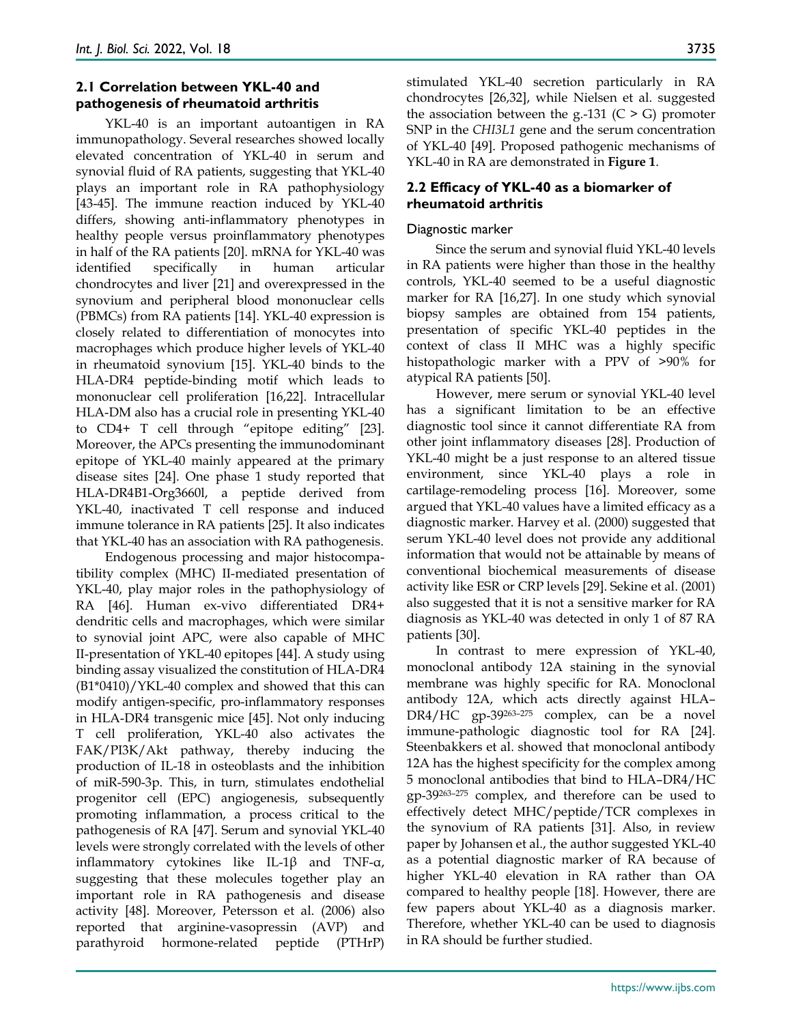# **2.1 Correlation between YKL-40 and pathogenesis of rheumatoid arthritis**

YKL-40 is an important autoantigen in RA immunopathology. Several researches showed locally elevated concentration of YKL-40 in serum and synovial fluid of RA patients, suggesting that YKL-40 plays an important role in RA pathophysiology [43-45]. The immune reaction induced by YKL-40 differs, showing anti-inflammatory phenotypes in healthy people versus proinflammatory phenotypes in half of the RA patients [20]. mRNA for YKL-40 was identified specifically in human articular chondrocytes and liver [21] and overexpressed in the synovium and peripheral blood mononuclear cells (PBMCs) from RA patients [14]. YKL-40 expression is closely related to differentiation of monocytes into macrophages which produce higher levels of YKL-40 in rheumatoid synovium [15]. YKL-40 binds to the HLA-DR4 peptide-binding motif which leads to mononuclear cell proliferation [16,22]. Intracellular HLA-DM also has a crucial role in presenting YKL-40 to CD4+ T cell through "epitope editing" [23]. Moreover, the APCs presenting the immunodominant epitope of YKL-40 mainly appeared at the primary disease sites [24]. One phase 1 study reported that HLA-DR4B1-Org3660l, a peptide derived from YKL-40, inactivated T cell response and induced immune tolerance in RA patients [25]. It also indicates that YKL-40 has an association with RA pathogenesis.

Endogenous processing and major histocompatibility complex (MHC) II-mediated presentation of YKL-40, play major roles in the pathophysiology of RA [46]. Human ex-vivo differentiated DR4+ dendritic cells and macrophages, which were similar to synovial joint APC, were also capable of MHC II-presentation of YKL-40 epitopes [44]. A study using binding assay visualized the constitution of HLA-DR4 (B1\*0410)/YKL-40 complex and showed that this can modify antigen-specific, pro-inflammatory responses in HLA-DR4 transgenic mice [45]. Not only inducing T cell proliferation, YKL-40 also activates the FAK/PI3K/Akt pathway, thereby inducing the production of IL-18 in osteoblasts and the inhibition of miR-590-3p. This, in turn, stimulates endothelial progenitor cell (EPC) angiogenesis, subsequently promoting inflammation, a process critical to the pathogenesis of RA [47]. Serum and synovial YKL-40 levels were strongly correlated with the levels of other inflammatory cytokines like IL-1 $\beta$  and TNF- $\alpha$ , suggesting that these molecules together play an important role in RA pathogenesis and disease activity [48]. Moreover, Petersson et al. (2006) also reported that arginine-vasopressin (AVP) and parathyroid hormone-related peptide (PTHrP)

stimulated YKL-40 secretion particularly in RA chondrocytes [26,32], while Nielsen et al. suggested the association between the g.-131 ( $C > G$ ) promoter SNP in the *CHI3L1* gene and the serum concentration of YKL-40 [49]. Proposed pathogenic mechanisms of YKL-40 in RA are demonstrated in **Figure 1**.

# **2.2 Efficacy of YKL-40 as a biomarker of rheumatoid arthritis**

# Diagnostic marker

Since the serum and synovial fluid YKL-40 levels in RA patients were higher than those in the healthy controls, YKL-40 seemed to be a useful diagnostic marker for RA [16,27]. In one study which synovial biopsy samples are obtained from 154 patients, presentation of specific YKL-40 peptides in the context of class Ⅱ MHC was a highly specific histopathologic marker with a PPV of >90% for atypical RA patients [50].

However, mere serum or synovial YKL-40 level has a significant limitation to be an effective diagnostic tool since it cannot differentiate RA from other joint inflammatory diseases [28]. Production of YKL-40 might be a just response to an altered tissue environment, since YKL-40 plays a role in cartilage-remodeling process [16]. Moreover, some argued that YKL-40 values have a limited efficacy as a diagnostic marker. Harvey et al. (2000) suggested that serum YKL-40 level does not provide any additional information that would not be attainable by means of conventional biochemical measurements of disease activity like ESR or CRP levels [29]. Sekine et al. (2001) also suggested that it is not a sensitive marker for RA diagnosis as YKL-40 was detected in only 1 of 87 RA patients [30].

In contrast to mere expression of YKL-40, monoclonal antibody 12A staining in the synovial membrane was highly specific for RA. Monoclonal antibody 12A, which acts directly against HLA– DR4/HC gp-39<sup>263-275</sup> complex, can be a novel immune-pathologic diagnostic tool for RA [24]. Steenbakkers et al. showed that monoclonal antibody 12A has the highest specificity for the complex among 5 monoclonal antibodies that bind to HLA–DR4/HC gp‐39263–275 complex, and therefore can be used to effectively detect MHC/peptide/TCR complexes in the synovium of RA patients [31]. Also, in review paper by Johansen et al., the author suggested YKL-40 as a potential diagnostic marker of RA because of higher YKL-40 elevation in RA rather than OA compared to healthy people [18]. However, there are few papers about YKL-40 as a diagnosis marker. Therefore, whether YKL-40 can be used to diagnosis in RA should be further studied.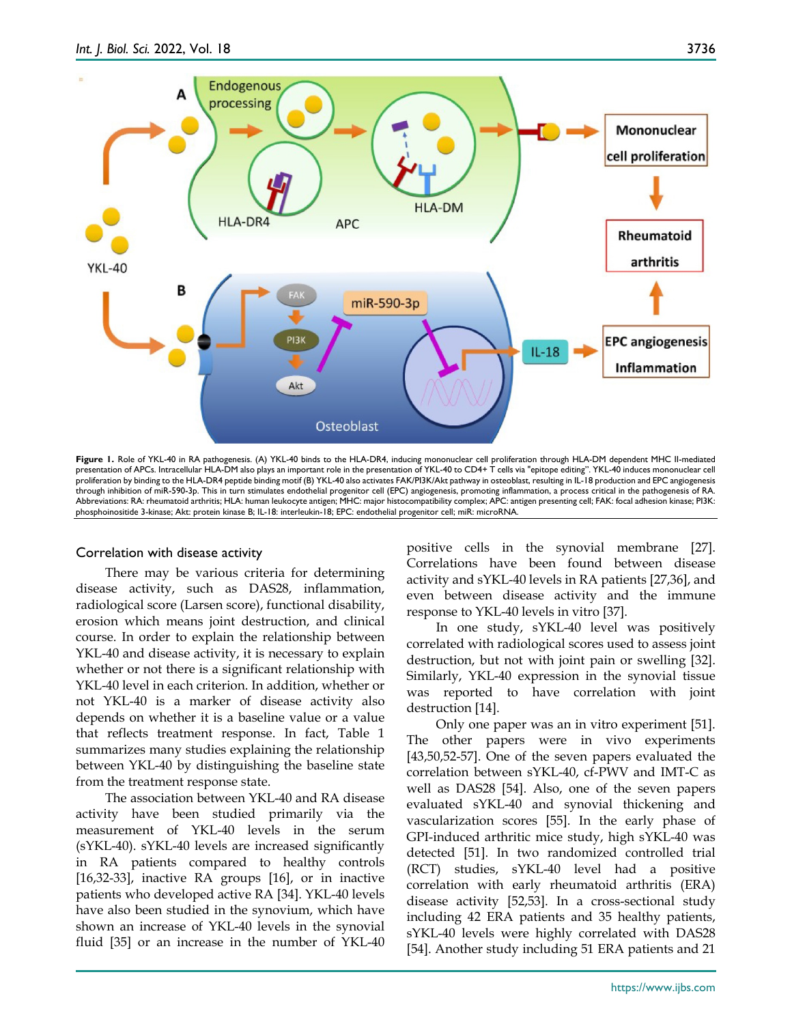

Figure 1. Role of YKL-40 in RA pathogenesis. (A) YKL-40 binds to the HLA-DR4, inducing mononuclear cell proliferation through HLA-DM dependent MHC II-mediated presentation of APCs. Intracellular HLA-DM also plays an important role in the presentation of YKL-40 to CD4+ T cells via "epitope editing". YKL-40 induces mononuclear cell proliferation by binding to the HLA-DR4 peptide binding motif (B) YKL-40 also activates FAK/PI3K/Akt pathway in osteoblast, resulting in IL-18 production and EPC angiogenesis through inhibition of miR-590-3p. This in turn stimulates endothelial progenitor cell (EPC) angiogenesis, promoting inflammation, a process critical in the pathogenesis of RA. Abbreviations: RA: rheumatoid arthritis; HLA: human leukocyte antigen; MHC: major histocompatibility complex; APC: antigen presenting cell; FAK: focal adhesion kinase; PI3K: phosphoinositide 3-kinase; Akt: protein kinase B; IL-18: interleukin-18; EPC: endothelial progenitor cell; miR: microRNA.

#### Correlation with disease activity

There may be various criteria for determining disease activity, such as DAS28, inflammation, radiological score (Larsen score), functional disability, erosion which means joint destruction, and clinical course. In order to explain the relationship between YKL-40 and disease activity, it is necessary to explain whether or not there is a significant relationship with YKL-40 level in each criterion. In addition, whether or not YKL-40 is a marker of disease activity also depends on whether it is a baseline value or a value that reflects treatment response. In fact, Table 1 summarizes many studies explaining the relationship between YKL-40 by distinguishing the baseline state from the treatment response state.

The association between YKL-40 and RA disease activity have been studied primarily via the measurement of YKL-40 levels in the serum (sYKL-40). sYKL-40 levels are increased significantly in RA patients compared to healthy controls [16,32-33], inactive RA groups [16], or in inactive patients who developed active RA [34]. YKL-40 levels have also been studied in the synovium, which have shown an increase of YKL-40 levels in the synovial fluid [35] or an increase in the number of YKL-40 positive cells in the synovial membrane [27]. Correlations have been found between disease activity and sYKL-40 levels in RA patients [27,36], and even between disease activity and the immune response to YKL-40 levels in vitro [37].

In one study, sYKL-40 level was positively correlated with radiological scores used to assess joint destruction, but not with joint pain or swelling [32]. Similarly, YKL-40 expression in the synovial tissue was reported to have correlation with joint destruction [14].

Only one paper was an in vitro experiment [51]. The other papers were in vivo experiments [43,50,52-57]. One of the seven papers evaluated the correlation between sYKL-40, cf-PWV and IMT-C as well as DAS28 [54]. Also, one of the seven papers evaluated sYKL-40 and synovial thickening and vascularization scores [55]. In the early phase of GPI-induced arthritic mice study, high sYKL-40 was detected [51]. In two randomized controlled trial (RCT) studies, sYKL-40 level had a positive correlation with early rheumatoid arthritis (ERA) disease activity [52,53]. In a cross-sectional study including 42 ERA patients and 35 healthy patients, sYKL-40 levels were highly correlated with DAS28 [54]. Another study including 51 ERA patients and 21

https://www.ijbs.com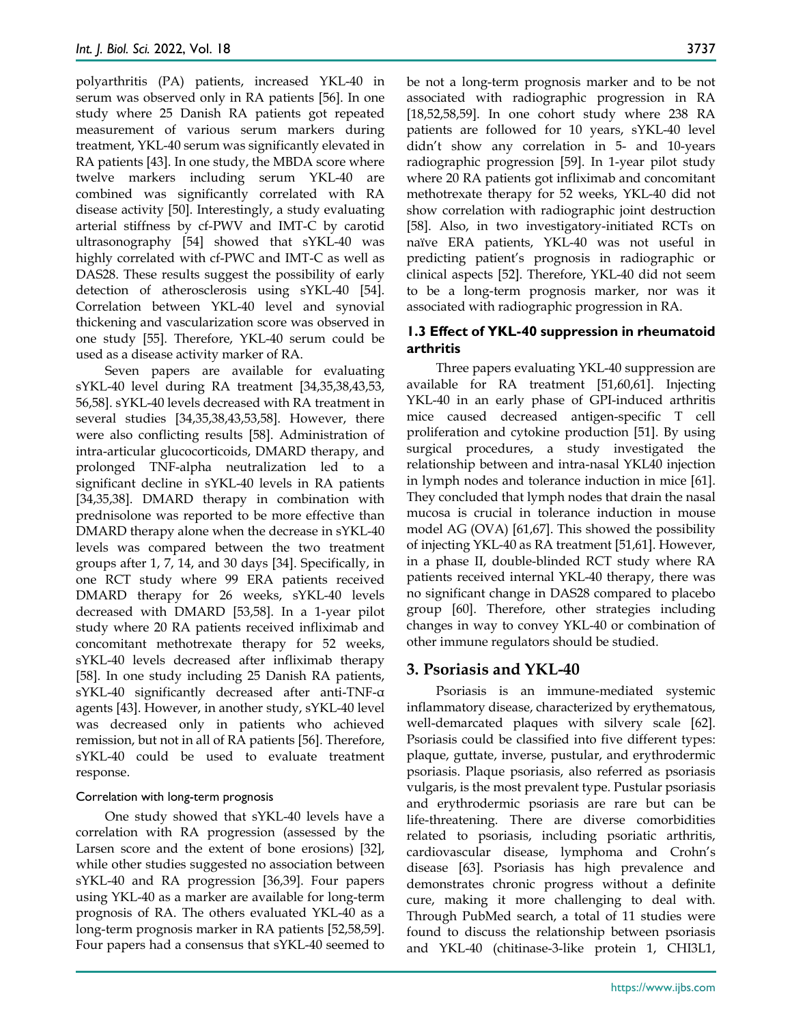polyarthritis (PA) patients, increased YKL-40 in serum was observed only in RA patients [56]. In one study where 25 Danish RA patients got repeated measurement of various serum markers during treatment, YKL-40 serum was significantly elevated in RA patients [43]. In one study, the MBDA score where twelve markers including serum YKL-40 are combined was significantly correlated with RA disease activity [50]. Interestingly, a study evaluating arterial stiffness by cf-PWV and IMT-C by carotid ultrasonography [54] showed that sYKL-40 was highly correlated with cf-PWC and IMT-C as well as DAS28. These results suggest the possibility of early detection of atherosclerosis using sYKL-40 [54]. Correlation between YKL-40 level and synovial thickening and vascularization score was observed in one study [55]. Therefore, YKL-40 serum could be used as a disease activity marker of RA.

Seven papers are available for evaluating sYKL-40 level during RA treatment [34,35,38,43,53, 56,58]. sYKL-40 levels decreased with RA treatment in several studies [34,35,38,43,53,58]. However, there were also conflicting results [58]. Administration of intra-articular glucocorticoids, DMARD therapy, and prolonged TNF-alpha neutralization led to a significant decline in sYKL-40 levels in RA patients [34,35,38]. DMARD therapy in combination with prednisolone was reported to be more effective than DMARD therapy alone when the decrease in sYKL-40 levels was compared between the two treatment groups after 1, 7, 14, and 30 days [34]. Specifically, in one RCT study where 99 ERA patients received DMARD therapy for 26 weeks, sYKL-40 levels decreased with DMARD [53,58]. In a 1-year pilot study where 20 RA patients received infliximab and concomitant methotrexate therapy for 52 weeks, sYKL-40 levels decreased after infliximab therapy [58]. In one study including 25 Danish RA patients, sYKL-40 significantly decreased after anti-TNF-α agents [43]. However, in another study, sYKL-40 level was decreased only in patients who achieved remission, but not in all of RA patients [56]. Therefore, sYKL-40 could be used to evaluate treatment response.

# Correlation with long-term prognosis

One study showed that sYKL-40 levels have a correlation with RA progression (assessed by the Larsen score and the extent of bone erosions) [32], while other studies suggested no association between sYKL-40 and RA progression [36,39]. Four papers using YKL-40 as a marker are available for long-term prognosis of RA. The others evaluated YKL-40 as a long-term prognosis marker in RA patients [52,58,59]. Four papers had a consensus that sYKL-40 seemed to

be not a long-term prognosis marker and to be not associated with radiographic progression in RA [18,52,58,59]. In one cohort study where 238 RA patients are followed for 10 years, sYKL-40 level didn't show any correlation in 5- and 10-years radiographic progression [59]. In 1-year pilot study where 20 RA patients got infliximab and concomitant methotrexate therapy for 52 weeks, YKL-40 did not show correlation with radiographic joint destruction [58]. Also, in two investigatory-initiated RCTs on naïve ERA patients, YKL-40 was not useful in predicting patient's prognosis in radiographic or clinical aspects [52]. Therefore, YKL-40 did not seem to be a long-term prognosis marker, nor was it associated with radiographic progression in RA.

## **1.3 Effect of YKL-40 suppression in rheumatoid arthritis**

Three papers evaluating YKL-40 suppression are available for RA treatment [51,60,61]. Injecting YKL-40 in an early phase of GPI-induced arthritis mice caused decreased antigen-specific T cell proliferation and cytokine production [51]. By using surgical procedures, a study investigated the relationship between and intra-nasal YKL40 injection in lymph nodes and tolerance induction in mice [61]. They concluded that lymph nodes that drain the nasal mucosa is crucial in tolerance induction in mouse model AG (OVA) [61,67]. This showed the possibility of injecting YKL-40 as RA treatment [51,61]. However, in a phase II, double-blinded RCT study where RA patients received internal YKL-40 therapy, there was no significant change in DAS28 compared to placebo group [60]. Therefore, other strategies including changes in way to convey YKL-40 or combination of other immune regulators should be studied.

# **3. Psoriasis and YKL-40**

Psoriasis is an immune-mediated systemic inflammatory disease, characterized by erythematous, well-demarcated plaques with silvery scale [62]. Psoriasis could be classified into five different types: plaque, guttate, inverse, pustular, and erythrodermic psoriasis. Plaque psoriasis, also referred as psoriasis vulgaris, is the most prevalent type. Pustular psoriasis and erythrodermic psoriasis are rare but can be life-threatening. There are diverse comorbidities related to psoriasis, including psoriatic arthritis, cardiovascular disease, lymphoma and Crohn's disease [63]. Psoriasis has high prevalence and demonstrates chronic progress without a definite cure, making it more challenging to deal with. Through PubMed search, a total of 11 studies were found to discuss the relationship between psoriasis and YKL-40 (chitinase-3-like protein 1, CHI3L1,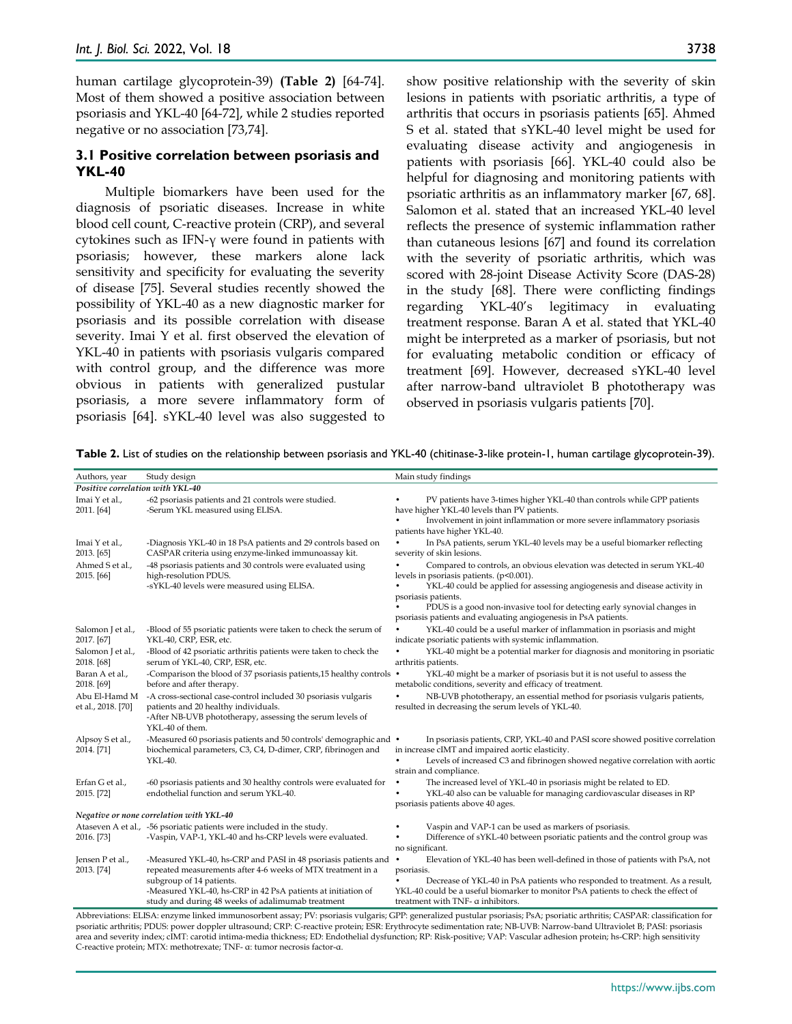human cartilage glycoprotein-39) **(Table 2)** [64-74]. Most of them showed a positive association between psoriasis and YKL-40 [64-72], while 2 studies reported negative or no association [73,74].

## **3.1 Positive correlation between psoriasis and YKL-40**

Multiple biomarkers have been used for the diagnosis of psoriatic diseases. Increase in white blood cell count, C-reactive protein (CRP), and several cytokines such as IFN-γ were found in patients with psoriasis; however, these markers alone lack sensitivity and specificity for evaluating the severity of disease [75]. Several studies recently showed the possibility of YKL-40 as a new diagnostic marker for psoriasis and its possible correlation with disease severity. Imai Y et al. first observed the elevation of YKL-40 in patients with psoriasis vulgaris compared with control group, and the difference was more obvious in patients with generalized pustular psoriasis, a more severe inflammatory form of psoriasis [64]. sYKL-40 level was also suggested to

show positive relationship with the severity of skin lesions in patients with psoriatic arthritis, a type of arthritis that occurs in psoriasis patients [65]. Ahmed S et al. stated that sYKL-40 level might be used for evaluating disease activity and angiogenesis in patients with psoriasis [66]. YKL-40 could also be helpful for diagnosing and monitoring patients with psoriatic arthritis as an inflammatory marker [67, 68]. Salomon et al. stated that an increased YKL-40 level reflects the presence of systemic inflammation rather than cutaneous lesions [67] and found its correlation with the severity of psoriatic arthritis, which was scored with 28-joint Disease Activity Score (DAS-28) in the study [68]. There were conflicting findings regarding YKL-40's legitimacy in evaluating treatment response. Baran A et al. stated that YKL-40 might be interpreted as a marker of psoriasis, but not for evaluating metabolic condition or efficacy of treatment [69]. However, decreased sYKL-40 level after narrow-band ultraviolet B phototherapy was observed in psoriasis vulgaris patients [70].

**Table 2.** List of studies on the relationship between psoriasis and YKL-40 (chitinase-3-like protein-1, human cartilage glycoprotein-39).

| Authors, year                    | Study design                                                                                       | Main study findings                                                                                                                                                                                |
|----------------------------------|----------------------------------------------------------------------------------------------------|----------------------------------------------------------------------------------------------------------------------------------------------------------------------------------------------------|
| Positive correlation with YKL-40 |                                                                                                    |                                                                                                                                                                                                    |
| Imai Y et al.,                   | -62 psoriasis patients and 21 controls were studied.                                               | PV patients have 3-times higher YKL-40 than controls while GPP patients                                                                                                                            |
| 2011. [64]                       | -Serum YKL measured using ELISA.                                                                   | have higher YKL-40 levels than PV patients.<br>Involvement in joint inflammation or more severe inflammatory psoriasis                                                                             |
|                                  |                                                                                                    | patients have higher YKL-40.                                                                                                                                                                       |
| Imai Y et al.,                   | -Diagnosis YKL-40 in 18 PsA patients and 29 controls based on                                      | In PsA patients, serum YKL-40 levels may be a useful biomarker reflecting                                                                                                                          |
| 2013. [65]                       | CASPAR criteria using enzyme-linked immunoassay kit.                                               | severity of skin lesions.                                                                                                                                                                          |
| Ahmed S et al.,<br>2015. [66]    | -48 psoriasis patients and 30 controls were evaluated using<br>high-resolution PDUS.               | Compared to controls, an obvious elevation was detected in serum YKL-40<br>levels in psoriasis patients. $(p<0.001)$ .                                                                             |
|                                  | -sYKL-40 levels were measured using ELISA.                                                         | YKL-40 could be applied for assessing angiogenesis and disease activity in<br>psoriasis patients.                                                                                                  |
|                                  |                                                                                                    | PDUS is a good non-invasive tool for detecting early synovial changes in                                                                                                                           |
|                                  |                                                                                                    | psoriasis patients and evaluating angiogenesis in PsA patients.                                                                                                                                    |
| Salomon J et al.,                | -Blood of 55 psoriatic patients were taken to check the serum of                                   | YKL-40 could be a useful marker of inflammation in psoriasis and might                                                                                                                             |
| 2017. [67]                       | YKL-40, CRP, ESR, etc.                                                                             | indicate psoriatic patients with systemic inflammation.                                                                                                                                            |
| Salomon J et al.,                | -Blood of 42 psoriatic arthritis patients were taken to check the                                  | YKL-40 might be a potential marker for diagnosis and monitoring in psoriatic                                                                                                                       |
| 2018. [68]                       | serum of YKL-40, CRP, ESR, etc.                                                                    | arthritis patients.                                                                                                                                                                                |
| Baran A et al.,<br>2018. [69]    | -Comparison the blood of 37 psoriasis patients, 15 healthy controls •<br>before and after therapy. | YKL-40 might be a marker of psoriasis but it is not useful to assess the<br>metabolic conditions, severity and efficacy of treatment.                                                              |
| Abu El-Hamd M                    | -A cross-sectional case-control included 30 psoriasis vulgaris                                     | NB-UVB phototherapy, an essential method for psoriasis vulgaris patients,                                                                                                                          |
| et al., 2018. [70]               | patients and 20 healthy individuals.                                                               | resulted in decreasing the serum levels of YKL-40.                                                                                                                                                 |
|                                  | -After NB-UVB phototherapy, assessing the serum levels of                                          |                                                                                                                                                                                                    |
|                                  | YKL-40 of them.                                                                                    |                                                                                                                                                                                                    |
| Alpsoy S et al.,                 | -Measured 60 psoriasis patients and 50 controls' demographic and •                                 | In psoriasis patients, CRP, YKL-40 and PASI score showed positive correlation                                                                                                                      |
| 2014. [71]                       | biochemical parameters, C3, C4, D-dimer, CRP, fibrinogen and                                       | in increase cIMT and impaired aortic elasticity.                                                                                                                                                   |
|                                  | YKL-40.                                                                                            | Levels of increased C3 and fibrinogen showed negative correlation with aortic<br>strain and compliance.                                                                                            |
| Erfan G et al.,                  | -60 psoriasis patients and 30 healthy controls were evaluated for                                  | The increased level of YKL-40 in psoriasis might be related to ED.<br>$\bullet$                                                                                                                    |
| 2015. [72]                       | endothelial function and serum YKL-40.                                                             | YKL-40 also can be valuable for managing cardiovascular diseases in RP                                                                                                                             |
|                                  |                                                                                                    | psoriasis patients above 40 ages.                                                                                                                                                                  |
|                                  | Negative or none correlation with YKL-40                                                           |                                                                                                                                                                                                    |
|                                  | Ataseven A et al., -56 psoriatic patients were included in the study.                              | Vaspin and VAP-1 can be used as markers of psoriasis.                                                                                                                                              |
| 2016. [73]                       | -Vaspin, VAP-1, YKL-40 and hs-CRP levels were evaluated.                                           | Difference of sYKL-40 between psoriatic patients and the control group was                                                                                                                         |
|                                  |                                                                                                    | no significant.                                                                                                                                                                                    |
| Jensen P et al.,                 | -Measured YKL-40, hs-CRP and PASI in 48 psoriasis patients and •                                   | Elevation of YKL-40 has been well-defined in those of patients with PsA, not                                                                                                                       |
| 2013. [74]                       | repeated measurements after 4-6 weeks of MTX treatment in a                                        | psoriasis.                                                                                                                                                                                         |
|                                  | subgroup of 14 patients.                                                                           | Decrease of YKL-40 in PsA patients who responded to treatment. As a result,                                                                                                                        |
|                                  | -Measured YKL-40, hs-CRP in 42 PsA patients at initiation of                                       | YKL-40 could be a useful biomarker to monitor PsA patients to check the effect of                                                                                                                  |
|                                  | study and during 48 weeks of adalimumab treatment                                                  | treatment with TNF- a inhibitors.<br>Although the CLICA common lighed incomparable to compute containing on the CDD, and and light description of Although the State of ACDAD, classification from |

soriasis vulgaris; GPP: generalized pustular psoriasis vulgaris; GPP: generalized pustular psoriatic arthritis; PDUS: power doppler ultrasound; CRP: C-reactive protein; ESR: Erythrocyte sedimentation rate; NB-UVB: Narrow-band Ultraviolet B; PASI: psoriasis area and severity index; cIMT: carotid intima-media thickness; ED: Endothelial dysfunction; RP: Risk-positive; VAP: Vascular adhesion protein; hs-CRP: high sensitivity C-reactive protein; MTX: methotrexate; TNF- α: tumor necrosis factor-α.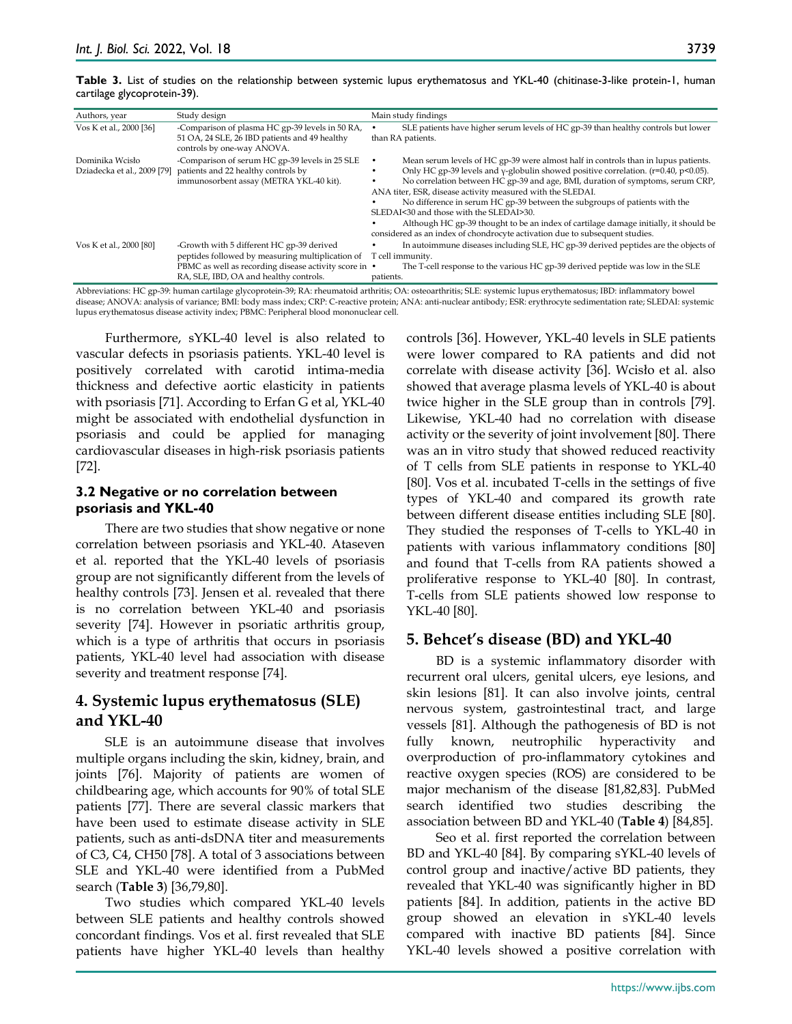|                             |  |  |  |  | Table 3. List of studies on the relationship between systemic lupus erythematosus and YKL-40 (chitinase-3-like protein-1, human |  |
|-----------------------------|--|--|--|--|---------------------------------------------------------------------------------------------------------------------------------|--|
| cartilage glycoprotein-39). |  |  |  |  |                                                                                                                                 |  |

| Authors, year           | Study design                                                                                                                                                                                     | Main study findings                                                                                                                                                                                                                                                                                                                                                                                                                                                                                                                                                                                                                     |
|-------------------------|--------------------------------------------------------------------------------------------------------------------------------------------------------------------------------------------------|-----------------------------------------------------------------------------------------------------------------------------------------------------------------------------------------------------------------------------------------------------------------------------------------------------------------------------------------------------------------------------------------------------------------------------------------------------------------------------------------------------------------------------------------------------------------------------------------------------------------------------------------|
| Vos K et al., 2000 [36] | -Comparison of plasma HC gp-39 levels in 50 RA,<br>51 OA, 24 SLE, 26 IBD patients and 49 healthy<br>controls by one-way ANOVA.                                                                   | SLE patients have higher serum levels of HC gp-39 than healthy controls but lower<br>than RA patients.                                                                                                                                                                                                                                                                                                                                                                                                                                                                                                                                  |
| Dominika Wcisło         | -Comparison of serum HC gp-39 levels in 25 SLE<br>Dziadecka et al., 2009 [79] patients and 22 healthy controls by<br>immunosorbent assay (METRA YKL-40 kit).                                     | Mean serum levels of HC gp-39 were almost half in controls than in lupus patients.<br>Only HC gp-39 levels and $\gamma$ -globulin showed positive correlation. ( $r=0.40$ , $p<0.05$ ).<br>No correlation between HC gp-39 and age, BMI, duration of symptoms, serum CRP,<br>ANA titer, ESR, disease activity measured with the SLEDAI.<br>No difference in serum HC gp-39 between the subgroups of patients with the<br>SLEDAI<30 and those with the SLEDAI>30.<br>Although HC gp-39 thought to be an index of cartilage damage initially, it should be<br>considered as an index of chondrocyte activation due to subsequent studies. |
| Vos K et al., 2000 [80] | -Growth with 5 different HC gp-39 derived<br>peptides followed by measuring multiplication of<br>PBMC as well as recording disease activity score in •<br>RA, SLE, IBD, OA and healthy controls. | In autoimmune diseases including SLE, HC gp-39 derived peptides are the objects of<br>T cell immunity.<br>The T-cell response to the various HC gp-39 derived peptide was low in the SLE<br>patients.                                                                                                                                                                                                                                                                                                                                                                                                                                   |

Abbreviations: HC gp-39: human cartilage glycoprotein-39; RA: rheumatoid arthritis; OA: osteoarthritis; SLE: systemic lupus erythematosus; IBD: inflammatory bowel disease; ANOVA: analysis of variance; BMI: body mass index; CRP: C-reactive protein; ANA: anti-nuclear antibody; ESR: erythrocyte sedimentation rate; SLEDAI: systemic lupus erythematosus disease activity index; PBMC: Peripheral blood mononuclear cell.

Furthermore, sYKL-40 level is also related to vascular defects in psoriasis patients. YKL-40 level is positively correlated with carotid intima-media thickness and defective aortic elasticity in patients with psoriasis [71]. According to Erfan G et al, YKL-40 might be associated with endothelial dysfunction in psoriasis and could be applied for managing cardiovascular diseases in high-risk psoriasis patients [72].

## **3.2 Negative or no correlation between psoriasis and YKL-40**

There are two studies that show negative or none correlation between psoriasis and YKL-40. Ataseven et al. reported that the YKL-40 levels of psoriasis group are not significantly different from the levels of healthy controls [73]. Jensen et al. revealed that there is no correlation between YKL-40 and psoriasis severity [74]. However in psoriatic arthritis group, which is a type of arthritis that occurs in psoriasis patients, YKL-40 level had association with disease severity and treatment response [74].

# **4. Systemic lupus erythematosus (SLE) and YKL-40**

SLE is an autoimmune disease that involves multiple organs including the skin, kidney, brain, and joints [76]. Majority of patients are women of childbearing age, which accounts for 90% of total SLE patients [77]. There are several classic markers that have been used to estimate disease activity in SLE patients, such as anti-dsDNA titer and measurements of C3, C4, CH50 [78]. A total of 3 associations between SLE and YKL-40 were identified from a PubMed search (**Table 3**) [36,79,80].

Two studies which compared YKL-40 levels between SLE patients and healthy controls showed concordant findings. Vos et al. first revealed that SLE patients have higher YKL-40 levels than healthy

controls [36]. However, YKL-40 levels in SLE patients were lower compared to RA patients and did not correlate with disease activity [36]. Wcisło et al. also showed that average plasma levels of YKL-40 is about twice higher in the SLE group than in controls [79]. Likewise, YKL-40 had no correlation with disease activity or the severity of joint involvement [80]. There was an in vitro study that showed reduced reactivity of T cells from SLE patients in response to YKL-40 [80]. Vos et al. incubated T-cells in the settings of five types of YKL-40 and compared its growth rate between different disease entities including SLE [80]. They studied the responses of T-cells to YKL-40 in patients with various inflammatory conditions [80] and found that T-cells from RA patients showed a proliferative response to YKL-40 [80]. In contrast, T-cells from SLE patients showed low response to YKL-40 [80].

# **5. Behcet's disease (BD) and YKL-40**

BD is a systemic inflammatory disorder with recurrent oral ulcers, genital ulcers, eye lesions, and skin lesions [81]. It can also involve joints, central nervous system, gastrointestinal tract, and large vessels [81]. Although the pathogenesis of BD is not fully known, neutrophilic hyperactivity and overproduction of pro-inflammatory cytokines and reactive oxygen species (ROS) are considered to be major mechanism of the disease [81,82,83]. PubMed search identified two studies describing the association between BD and YKL-40 (**Table 4**) [84,85].

Seo et al. first reported the correlation between BD and YKL-40 [84]. By comparing sYKL-40 levels of control group and inactive/active BD patients, they revealed that YKL-40 was significantly higher in BD patients [84]. In addition, patients in the active BD group showed an elevation in sYKL-40 levels compared with inactive BD patients [84]. Since YKL-40 levels showed a positive correlation with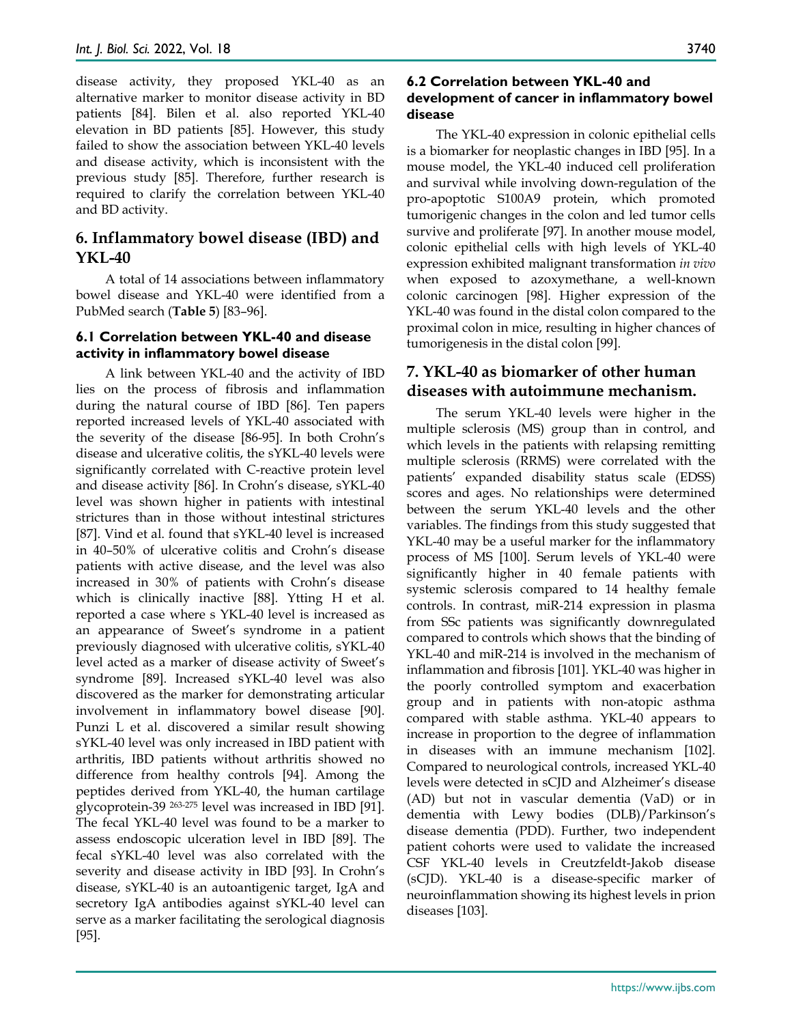disease activity, they proposed YKL-40 as an alternative marker to monitor disease activity in BD patients [84]. Bilen et al. also reported YKL-40 elevation in BD patients [85]. However, this study failed to show the association between YKL-40 levels and disease activity, which is inconsistent with the previous study [85]. Therefore, further research is required to clarify the correlation between YKL-40 and BD activity.

# **6. Inflammatory bowel disease (IBD) and YKL-40**

A total of 14 associations between inflammatory bowel disease and YKL-40 were identified from a PubMed search (**Table 5**) [83–96].

## **6.1 Correlation between YKL-40 and disease activity in inflammatory bowel disease**

A link between YKL-40 and the activity of IBD lies on the process of fibrosis and inflammation during the natural course of IBD [86]. Ten papers reported increased levels of YKL-40 associated with the severity of the disease [86-95]. In both Crohn's disease and ulcerative colitis, the sYKL-40 levels were significantly correlated with C-reactive protein level and disease activity [86]. In Crohn's disease, sYKL-40 level was shown higher in patients with intestinal strictures than in those without intestinal strictures [87]. Vind et al. found that sYKL-40 level is increased in 40–50% of ulcerative colitis and Crohn's disease patients with active disease, and the level was also increased in 30% of patients with Crohn's disease which is clinically inactive [88]. Ytting H et al. reported a case where s YKL-40 level is increased as an appearance of Sweet's syndrome in a patient previously diagnosed with ulcerative colitis, sYKL-40 level acted as a marker of disease activity of Sweet's syndrome [89]. Increased sYKL-40 level was also discovered as the marker for demonstrating articular involvement in inflammatory bowel disease [90]. Punzi L et al. discovered a similar result showing sYKL-40 level was only increased in IBD patient with arthritis, IBD patients without arthritis showed no difference from healthy controls [94]. Among the peptides derived from YKL-40, the human cartilage glycoprotein-39 263-275 level was increased in IBD [91]. The fecal YKL-40 level was found to be a marker to assess endoscopic ulceration level in IBD [89]. The fecal sYKL-40 level was also correlated with the severity and disease activity in IBD [93]. In Crohn's disease, sYKL-40 is an autoantigenic target, IgA and secretory IgA antibodies against sYKL-40 level can serve as a marker facilitating the serological diagnosis [95].

## **6.2 Correlation between YKL-40 and development of cancer in inflammatory bowel disease**

The YKL-40 expression in colonic epithelial cells is a biomarker for neoplastic changes in IBD [95]. In a mouse model, the YKL-40 induced cell proliferation and survival while involving down-regulation of the pro-apoptotic S100A9 protein, which promoted tumorigenic changes in the colon and led tumor cells survive and proliferate [97]. In another mouse model, colonic epithelial cells with high levels of YKL-40 expression exhibited malignant transformation *in vivo*  when exposed to azoxymethane, a well-known colonic carcinogen [98]. Higher expression of the YKL-40 was found in the distal colon compared to the proximal colon in mice, resulting in higher chances of tumorigenesis in the distal colon [99].

# **7. YKL-40 as biomarker of other human diseases with autoimmune mechanism.**

The serum YKL-40 levels were higher in the multiple sclerosis (MS) group than in control, and which levels in the patients with relapsing remitting multiple sclerosis (RRMS) were correlated with the patients' expanded disability status scale (EDSS) scores and ages. No relationships were determined between the serum YKL-40 levels and the other variables. The findings from this study suggested that YKL-40 may be a useful marker for the inflammatory process of MS [100]. Serum levels of YKL-40 were significantly higher in 40 female patients with systemic sclerosis compared to 14 healthy female controls. In contrast, miR-214 expression in plasma from SSc patients was significantly downregulated compared to controls which shows that the binding of YKL-40 and miR-214 is involved in the mechanism of inflammation and fibrosis [101]. YKL-40 was higher in the poorly controlled symptom and exacerbation group and in patients with non-atopic asthma compared with stable asthma. YKL-40 appears to increase in proportion to the degree of inflammation in diseases with an immune mechanism [102]. Compared to neurological controls, increased YKL-40 levels were detected in sCJD and Alzheimer's disease (AD) but not in vascular dementia (VaD) or in dementia with Lewy bodies (DLB)/Parkinson's disease dementia (PDD). Further, two independent patient cohorts were used to validate the increased CSF YKL-40 levels in Creutzfeldt-Jakob disease (sCJD). YKL-40 is a disease-specific marker of neuroinflammation showing its highest levels in prion diseases [103].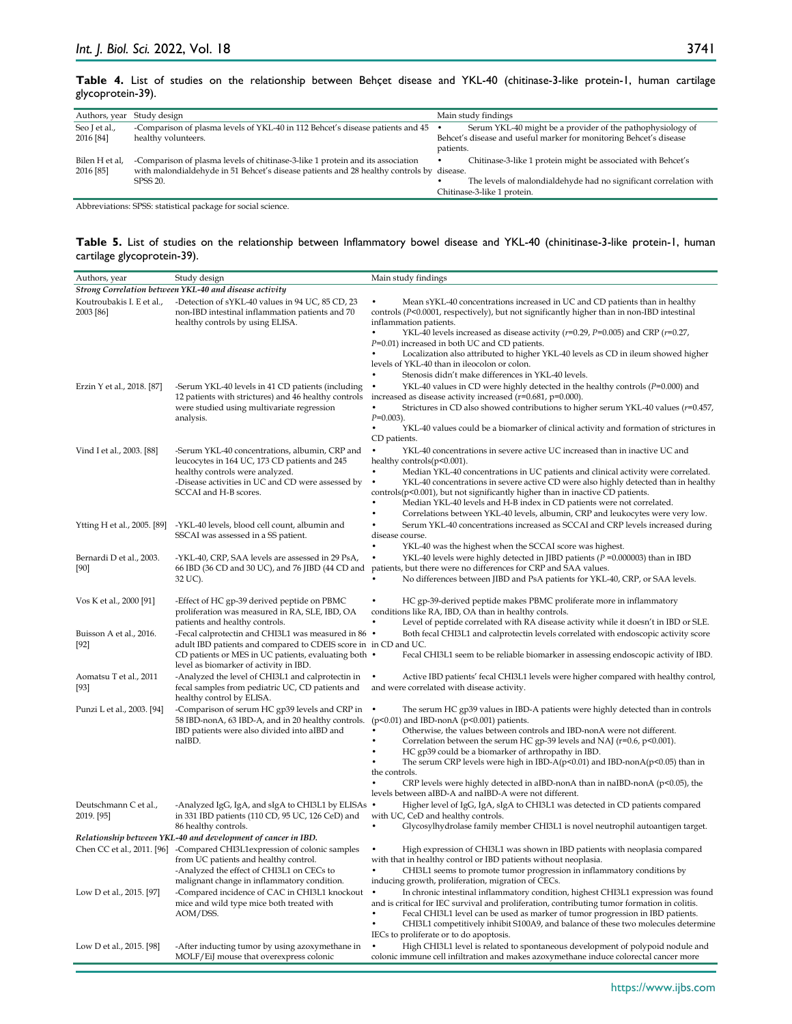#### **Table 4.** List of studies on the relationship between Behçet disease and YKL-40 (chitinase-3-like protein-1, human cartilage glycoprotein-39).

| Authors, year Study design  |                                                                                                                                                                                        | Main study findings                                                                                                                                                   |
|-----------------------------|----------------------------------------------------------------------------------------------------------------------------------------------------------------------------------------|-----------------------------------------------------------------------------------------------------------------------------------------------------------------------|
| Seo J et al.,<br>2016 [84]  | -Comparison of plasma levels of YKL-40 in 112 Behcet's disease patients and 45 •<br>healthy volunteers.                                                                                | Serum YKL-40 might be a provider of the pathophysiology of<br>Behcet's disease and useful marker for monitoring Behcet's disease<br>patients.                         |
| Bilen H et al,<br>2016 [85] | -Comparison of plasma levels of chitinase-3-like 1 protein and its association<br>with malondialdehyde in 51 Behcet's disease patients and 28 healthy controls by disease.<br>SPSS 20. | Chitinase-3-like 1 protein might be associated with Behcet's<br>٠<br>The levels of malondialdehyde had no significant correlation with<br>Chitinase-3-like 1 protein. |

Abbreviations: SPSS: statistical package for social science.

#### **Table 5.** List of studies on the relationship between Inflammatory bowel disease and YKL-40 (chinitinase-3-like protein-1, human cartilage glycoprotein-39).

| Authors, year                          | Study design                                                                                                                                                                                                                      | Main study findings                                                                                                                                                                                                                                                                                                                                                                                                                                                                                                                                                                                          |
|----------------------------------------|-----------------------------------------------------------------------------------------------------------------------------------------------------------------------------------------------------------------------------------|--------------------------------------------------------------------------------------------------------------------------------------------------------------------------------------------------------------------------------------------------------------------------------------------------------------------------------------------------------------------------------------------------------------------------------------------------------------------------------------------------------------------------------------------------------------------------------------------------------------|
|                                        | Strong Correlation between YKL-40 and disease activity                                                                                                                                                                            |                                                                                                                                                                                                                                                                                                                                                                                                                                                                                                                                                                                                              |
| Koutroubakis I. E et al.,<br>2003 [86] | -Detection of sYKL-40 values in 94 UC, 85 CD, 23<br>non-IBD intestinal inflammation patients and 70<br>healthy controls by using ELISA.                                                                                           | Mean sYKL-40 concentrations increased in UC and CD patients than in healthy<br>controls $(P<0.0001$ , respectively), but not significantly higher than in non-IBD intestinal<br>inflammation patients.<br>$\bullet$<br>YKL-40 levels increased as disease activity ( $r=0.29$ , $P=0.005$ ) and CRP ( $r=0.27$ ,<br>$P=0.01$ ) increased in both UC and CD patients.<br>Localization also attributed to higher YKL-40 levels as CD in ileum showed higher<br>levels of YKL-40 than in ileocolon or colon.                                                                                                    |
| Erzin Y et al., 2018. [87]             | -Serum YKL-40 levels in 41 CD patients (including<br>12 patients with strictures) and 46 healthy controls<br>were studied using multivariate regression<br>analysis.                                                              | Stenosis didn't make differences in YKL-40 levels.<br>YKL-40 values in CD were highly detected in the healthy controls ( $P=0.000$ ) and<br>$\bullet$<br>increased as disease activity increased $(r=0.681, p=0.000)$ .<br>Strictures in CD also showed contributions to higher serum YKL-40 values $(r=0.457)$ ,<br>$P=0.003$ ).<br>$\bullet$<br>YKL-40 values could be a biomarker of clinical activity and formation of strictures in<br>CD patients.                                                                                                                                                     |
| Vind I et al., 2003. [88]              | -Serum YKL-40 concentrations, albumin, CRP and<br>leucocytes in 164 UC, 173 CD patients and 245<br>healthy controls were analyzed.<br>-Disease activities in UC and CD were assessed by<br>SCCAI and H-B scores.                  | YKL-40 concentrations in severe active UC increased than in inactive UC and<br>$\bullet$<br>healthy controls $(p<0.001)$ .<br>Median YKL-40 concentrations in UC patients and clinical activity were correlated.<br>YKL-40 concentrations in severe active CD were also highly detected than in healthy<br>$controls(p<0.001)$ , but not significantly higher than in inactive CD patients.<br>Median YKL-40 levels and H-B index in CD patients were not correlated.<br>$\bullet$<br>Correlations between YKL-40 levels, albumin, CRP and leukocytes were very low.                                         |
| Ytting H et al., 2005. [89]            | -YKL-40 levels, blood cell count, albumin and<br>SSCAI was assessed in a SS patient.                                                                                                                                              | Serum YKL-40 concentrations increased as SCCAI and CRP levels increased during<br>disease course.<br>YKL-40 was the highest when the SCCAI score was highest.                                                                                                                                                                                                                                                                                                                                                                                                                                                |
| Bernardi D et al., 2003.<br>[90]       | -YKL-40, CRP, SAA levels are assessed in 29 PsA,<br>66 IBD (36 CD and 30 UC), and 76 JIBD (44 CD and<br>32 UC).                                                                                                                   | YKL-40 levels were highly detected in JIBD patients ( $P = 0.000003$ ) than in IBD<br>$\bullet$<br>patients, but there were no differences for CRP and SAA values.<br>No differences between JIBD and PsA patients for YKL-40, CRP, or SAA levels.                                                                                                                                                                                                                                                                                                                                                           |
| Vos K et al., 2000 [91]                | -Effect of HC gp-39 derived peptide on PBMC<br>proliferation was measured in RA, SLE, IBD, OA<br>patients and healthy controls.                                                                                                   | HC gp-39-derived peptide makes PBMC proliferate more in inflammatory<br>conditions like RA, IBD, OA than in healthy controls.<br>Level of peptide correlated with RA disease activity while it doesn't in IBD or SLE.                                                                                                                                                                                                                                                                                                                                                                                        |
| Buisson A et al., 2016.<br>$[92]$      | - Fecal calprotectin and CHI3L1 was measured in 86 .<br>adult IBD patients and compared to CDEIS score in in CD and UC.<br>CD patients or MES in UC patients, evaluating both $\bullet$<br>level as biomarker of activity in IBD. | Both fecal CHI3L1 and calprotectin levels correlated with endoscopic activity score<br>Fecal CHI3L1 seem to be reliable biomarker in assessing endoscopic activity of IBD.                                                                                                                                                                                                                                                                                                                                                                                                                                   |
| Aomatsu T et al., 2011<br>$[93]$       | -Analyzed the level of CHI3L1 and calprotectin in<br>fecal samples from pediatric UC, CD patients and<br>healthy control by ELISA.                                                                                                | Active IBD patients' fecal CHI3L1 levels were higher compared with healthy control,<br>and were correlated with disease activity.                                                                                                                                                                                                                                                                                                                                                                                                                                                                            |
| Punzi L et al., 2003. [94]             | -Comparison of serum HC gp39 levels and CRP in<br>58 IBD-nonA, 63 IBD-A, and in 20 healthy controls.<br>IBD patients were also divided into aIBD and<br>naIBD.                                                                    | The serum HC gp39 values in IBD-A patients were highly detected than in controls<br>$(p<0.01)$ and IBD-nonA $(p<0.001)$ patients.<br>Otherwise, the values between controls and IBD-nonA were not different.<br>Correlation between the serum HC gp-39 levels and NAJ ( $r=0.6$ , $p<0.001$ ).<br>HC gp39 could be a biomarker of arthropathy in IBD.<br>The serum CRP levels were high in IBD-A( $p<0.01$ ) and IBD-nonA( $p<0.05$ ) than in<br>the controls.<br>CRP levels were highly detected in aIBD-nonA than in naIBD-nonA ( $p<0.05$ ), the<br>levels between aIBD-A and naIBD-A were not different. |
| Deutschmann C et al.,<br>2019. [95]    | -Analyzed IgG, IgA, and sIgA to CHI3L1 by ELISAs<br>in 331 IBD patients (110 CD, 95 UC, 126 CeD) and<br>86 healthy controls.                                                                                                      | Higher level of IgG, IgA, sIgA to CHI3L1 was detected in CD patients compared<br>with UC, CeD and healthy controls.<br>Glycosylhydrolase family member CHI3L1 is novel neutrophil autoantigen target.                                                                                                                                                                                                                                                                                                                                                                                                        |
|                                        | Relationship between YKL-40 and development of cancer in IBD.                                                                                                                                                                     |                                                                                                                                                                                                                                                                                                                                                                                                                                                                                                                                                                                                              |
| Chen CC et al., 2011. [96]             | -Compared CHI3L1expression of colonic samples<br>from UC patients and healthy control.<br>-Analyzed the effect of CHI3L1 on CECs to<br>malignant change in inflammatory condition.                                                | High expression of CHI3L1 was shown in IBD patients with neoplasia compared<br>with that in healthy control or IBD patients without neoplasia.<br>CHI3L1 seems to promote tumor progression in inflammatory conditions by<br>inducing growth, proliferation, migration of CECs.                                                                                                                                                                                                                                                                                                                              |
| Low D et al., 2015. [97]               | -Compared incidence of CAC in CHI3L1 knockout<br>mice and wild type mice both treated with<br>AOM/DSS.                                                                                                                            | In chronic intestinal inflammatory condition, highest CHI3L1 expression was found<br>$\bullet$<br>and is critical for IEC survival and proliferation, contributing tumor formation in colitis.<br>Fecal CHI3L1 level can be used as marker of tumor progression in IBD patients.<br>CHI3L1 competitively inhibit S100A9, and balance of these two molecules determine<br>IECs to proliferate or to do apoptosis.                                                                                                                                                                                             |
| Low D et al., 2015. [98]               | -After inducting tumor by using azoxymethane in<br>MOLF/EiJ mouse that overexpress colonic                                                                                                                                        | High CHI3L1 level is related to spontaneous development of polypoid nodule and<br>colonic immune cell infiltration and makes azoxymethane induce colorectal cancer more                                                                                                                                                                                                                                                                                                                                                                                                                                      |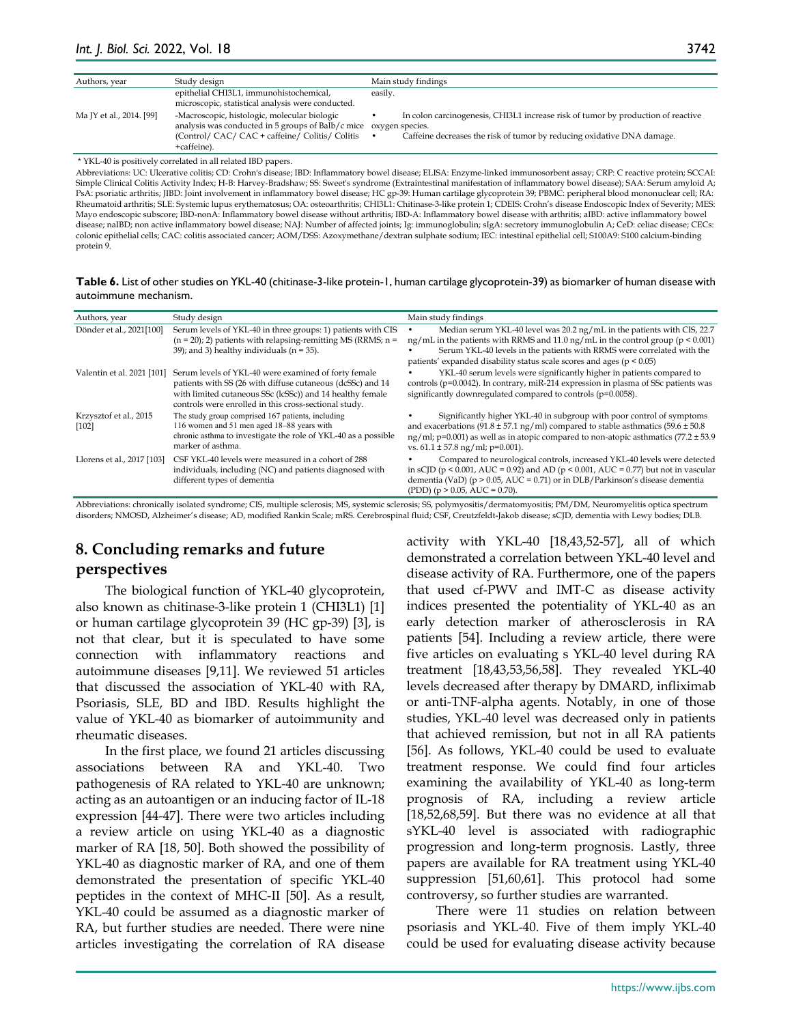| Authors, year            | Study design                                                                                                                                                                                                                                                                                                                                 |         | Main study findings                                                                                                                                        |
|--------------------------|----------------------------------------------------------------------------------------------------------------------------------------------------------------------------------------------------------------------------------------------------------------------------------------------------------------------------------------------|---------|------------------------------------------------------------------------------------------------------------------------------------------------------------|
|                          | epithelial CHI3L1, immunohistochemical,<br>microscopic, statistical analysis were conducted.                                                                                                                                                                                                                                                 | easily. |                                                                                                                                                            |
| Ma JY et al., 2014. [99] | -Macroscopic, histologic, molecular biologic<br>analysis was conducted in 5 groups of Balb/c mice oxygen species.<br>(Control/ CAC/ CAC + caffeine/ Colitis/ Colitis<br>+caffeine).                                                                                                                                                          |         | In colon carcinogenesis, CHI3L1 increase risk of tumor by production of reactive<br>Caffeine decreases the risk of tumor by reducing oxidative DNA damage. |
| $+1777$ $+0$             | $\cdots$ $\cdots$ $\cdots$ $\cdots$ $\cdots$ $\cdots$ $\cdots$ $\cdots$ $\cdots$ $\cdots$ $\cdots$ $\cdots$ $\cdots$ $\cdots$ $\cdots$ $\cdots$ $\cdots$ $\cdots$ $\cdots$ $\cdots$ $\cdots$ $\cdots$ $\cdots$ $\cdots$ $\cdots$ $\cdots$ $\cdots$ $\cdots$ $\cdots$ $\cdots$ $\cdots$ $\cdots$ $\cdots$ $\cdots$ $\cdots$ $\cdots$ $\cdots$ |         |                                                                                                                                                            |

\* YKL-40 is positively correlated in all related IBD papers.

Abbreviations: UC: Ulcerative colitis; CD: Crohn's disease; IBD: Inflammatory bowel disease; ELISA: Enzyme-linked immunosorbent assay; CRP: C reactive protein; SCCAI: Simple Clinical Colitis Activity Index; H-B: Harvey-Bradshaw; SS: Sweet's syndrome (Extraintestinal manifestation of inflammatory bowel disease); SAA: Serum amyloid A; PsA: psoriatic arthritis; JIBD: Joint involvement in inflammatory bowel disease; HC gp-39: Human cartilage glycoprotein 39; PBMC: peripheral blood mononuclear cell; RA: Rheumatoid arthritis; SLE: Systemic lupus erythematosus; OA: osteoarthritis; CHI3L1: Chitinase-3-like protein 1; CDEIS: Crohn's disease Endoscopic Index of Severity; MES: Mayo endoscopic subscore; IBD-nonA: Inflammatory bowel disease without arthritis; IBD-A: Inflammatory bowel disease with arthritis; aIBD: active inflammatory bowel disease; naIBD; non active inflammatory bowel disease; NAJ: Number of affected joints; Ig: immunoglobulin; sIgA: secretory immunoglobulin A; CeD: celiac disease; CECs: colonic epithelial cells; CAC: colitis associated cancer; AOM/DSS: Azoxymethane/dextran sulphate sodium; IEC: intestinal epithelial cell; S100A9: S100 calcium-binding protein 9.

**Table 6.** List of other studies on YKL-40 (chitinase-3-like protein-1, human cartilage glycoprotein-39) as biomarker of human disease with autoimmune mechanism.

| Authors, year                     | Study design                                                                                                                                                                                                                             | Main study findings                                                                                                                                                                                                                                                                                                     |
|-----------------------------------|------------------------------------------------------------------------------------------------------------------------------------------------------------------------------------------------------------------------------------------|-------------------------------------------------------------------------------------------------------------------------------------------------------------------------------------------------------------------------------------------------------------------------------------------------------------------------|
| Dönder et al., 2021[100]          | Serum levels of YKL-40 in three groups: 1) patients with CIS<br>$(n = 20)$ ; 2) patients with relapsing-remitting MS (RRMS; n =<br>39); and 3) healthy individuals ( $n = 35$ ).                                                         | Median serum YKL-40 level was 20.2 ng/mL in the patients with CIS, 22.7<br>ng/mL in the patients with RRMS and 11.0 ng/mL in the control group ( $p \le 0.001$ )<br>Serum YKL-40 levels in the patients with RRMS were correlated with the<br>patients' expanded disability status scale scores and ages ( $p < 0.05$ ) |
| Valentin et al. 2021 [101]        | Serum levels of YKL-40 were examined of forty female<br>patients with SS (26 with diffuse cutaneous (dcSSc) and 14<br>with limited cutaneous SSc (lcSSc)) and 14 healthy female<br>controls were enrolled in this cross-sectional study. | YKL-40 serum levels were significantly higher in patients compared to<br>controls ( $p=0.0042$ ). In contrary, miR-214 expression in plasma of SSc patients was<br>significantly downregulated compared to controls (p=0.0058).                                                                                         |
| Krzysztof et al., 2015<br>$[102]$ | The study group comprised 167 patients, including<br>116 women and 51 men aged 18-88 years with<br>chronic asthma to investigate the role of YKL-40 as a possible<br>marker of asthma.                                                   | Significantly higher YKL-40 in subgroup with poor control of symptoms<br>and exacerbations (91.8 $\pm$ 57.1 ng/ml) compared to stable asthmatics (59.6 $\pm$ 50.8<br>ng/ml; p=0.001) as well as in atopic compared to non-atopic asthmatics $(77.2 \pm 53.9$<br>vs. $61.1 \pm 57.8$ ng/ml; p=0.001).                    |
| Llorens et al., 2017 [103]        | CSF YKL-40 levels were measured in a cohort of 288<br>individuals, including (NC) and patients diagnosed with<br>different types of dementia                                                                                             | Compared to neurological controls, increased YKL-40 levels were detected<br>in sCJD ( $p < 0.001$ , AUC = 0.92) and AD ( $p < 0.001$ , AUC = 0.77) but not in vascular<br>dementia (VaD) (p > 0.05, AUC = 0.71) or in DLB/Parkinson's disease dementia<br>$( PDD)$ (p > 0.05, AUC = 0.70).                              |

Abbreviations: chronically isolated syndrome; CIS, multiple sclerosis; MS, systemic sclerosis; SS, polymyositis/dermatomyositis; PM/DM, Neuromyelitis optica spectrum disorders; NMOSD, Alzheimer's disease; AD, modified Rankin Scale; mRS. Cerebrospinal fluid; CSF, Creutzfeldt-Jakob disease; sCJD, dementia with Lewy bodies; DLB.

# **8. Concluding remarks and future perspectives**

The biological function of YKL-40 glycoprotein, also known as chitinase-3-like protein 1 (CHI3L1) [1] or human cartilage glycoprotein 39 (HC gp-39) [3], is not that clear, but it is speculated to have some connection with inflammatory reactions and autoimmune diseases [9,11]. We reviewed 51 articles that discussed the association of YKL-40 with RA, Psoriasis, SLE, BD and IBD. Results highlight the value of YKL-40 as biomarker of autoimmunity and rheumatic diseases.

In the first place, we found 21 articles discussing associations between RA and YKL-40. Two pathogenesis of RA related to YKL-40 are unknown; acting as an autoantigen or an inducing factor of IL-18 expression [44-47]. There were two articles including a review article on using YKL-40 as a diagnostic marker of RA [18, 50]. Both showed the possibility of YKL-40 as diagnostic marker of RA, and one of them demonstrated the presentation of specific YKL-40 peptides in the context of MHC-II [50]. As a result, YKL-40 could be assumed as a diagnostic marker of RA, but further studies are needed. There were nine articles investigating the correlation of RA disease

activity with YKL-40 [18,43,52-57], all of which demonstrated a correlation between YKL-40 level and disease activity of RA. Furthermore, one of the papers that used cf-PWV and IMT-C as disease activity indices presented the potentiality of YKL-40 as an early detection marker of atherosclerosis in RA patients [54]. Including a review article, there were five articles on evaluating s YKL-40 level during RA treatment [18,43,53,56,58]. They revealed YKL-40 levels decreased after therapy by DMARD, infliximab or anti-TNF-alpha agents. Notably, in one of those studies, YKL-40 level was decreased only in patients that achieved remission, but not in all RA patients [56]. As follows, YKL-40 could be used to evaluate treatment response. We could find four articles examining the availability of YKL-40 as long-term prognosis of RA, including a review article [18,52,68,59]. But there was no evidence at all that sYKL-40 level is associated with radiographic progression and long-term prognosis. Lastly, three papers are available for RA treatment using YKL-40 suppression [51,60,61]. This protocol had some controversy, so further studies are warranted.

There were 11 studies on relation between psoriasis and YKL-40. Five of them imply YKL-40 could be used for evaluating disease activity because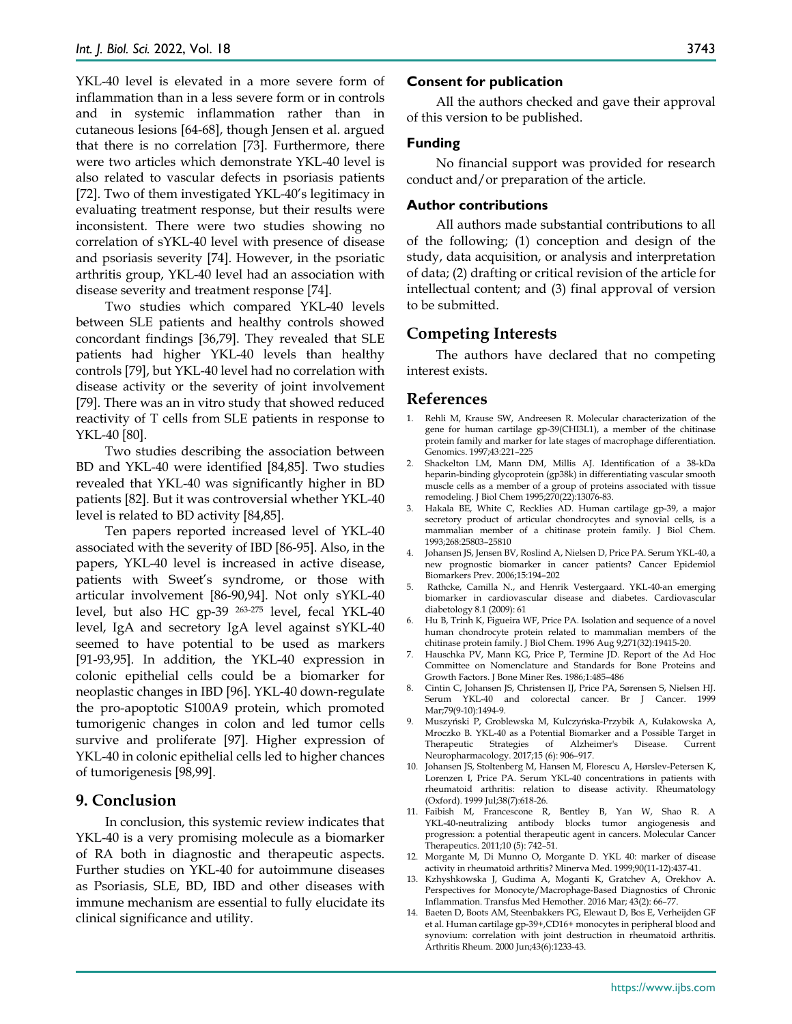YKL-40 level is elevated in a more severe form of inflammation than in a less severe form or in controls and in systemic inflammation rather than in cutaneous lesions [64-68], though Jensen et al. argued that there is no correlation [73]. Furthermore, there were two articles which demonstrate YKL-40 level is also related to vascular defects in psoriasis patients [72]. Two of them investigated YKL-40's legitimacy in evaluating treatment response, but their results were inconsistent. There were two studies showing no correlation of sYKL-40 level with presence of disease and psoriasis severity [74]. However, in the psoriatic arthritis group, YKL-40 level had an association with disease severity and treatment response [74].

Two studies which compared YKL-40 levels between SLE patients and healthy controls showed concordant findings [36,79]. They revealed that SLE patients had higher YKL-40 levels than healthy controls [79], but YKL-40 level had no correlation with disease activity or the severity of joint involvement [79]. There was an in vitro study that showed reduced reactivity of T cells from SLE patients in response to YKL-40 [80].

Two studies describing the association between BD and YKL-40 were identified [84,85]. Two studies revealed that YKL-40 was significantly higher in BD patients [82]. But it was controversial whether YKL-40 level is related to BD activity [84,85].

Ten papers reported increased level of YKL-40 associated with the severity of IBD [86-95]. Also, in the papers, YKL-40 level is increased in active disease, patients with Sweet's syndrome, or those with articular involvement [86-90,94]. Not only sYKL-40 level, but also HC gp-39 263-275 level, fecal YKL-40 level, IgA and secretory IgA level against sYKL-40 seemed to have potential to be used as markers [91-93,95]. In addition, the YKL-40 expression in colonic epithelial cells could be a biomarker for neoplastic changes in IBD [96]. YKL-40 down-regulate the pro-apoptotic S100A9 protein, which promoted tumorigenic changes in colon and led tumor cells survive and proliferate [97]. Higher expression of YKL-40 in colonic epithelial cells led to higher chances of tumorigenesis [98,99].

# **9. Conclusion**

In conclusion, this systemic review indicates that YKL-40 is a very promising molecule as a biomarker of RA both in diagnostic and therapeutic aspects. Further studies on YKL-40 for autoimmune diseases as Psoriasis, SLE, BD, IBD and other diseases with immune mechanism are essential to fully elucidate its clinical significance and utility.

#### **Consent for publication**

All the authors checked and gave their approval of this version to be published.

#### **Funding**

No financial support was provided for research conduct and/or preparation of the article.

#### **Author contributions**

All authors made substantial contributions to all of the following; (1) conception and design of the study, data acquisition, or analysis and interpretation of data; (2) drafting or critical revision of the article for intellectual content; and (3) final approval of version to be submitted.

## **Competing Interests**

The authors have declared that no competing interest exists.

## **References**

- 1. Rehli M, Krause SW, Andreesen R. Molecular characterization of the gene for human cartilage gp-39(CHI3L1), a member of the chitinase protein family and marker for late stages of macrophage differentiation. Genomics. 1997;43:221–225
- 2. Shackelton LM, Mann DM, Millis AJ. Identification of a 38-kDa heparin-binding glycoprotein (gp38k) in differentiating vascular smooth muscle cells as a member of a group of proteins associated with tissue remodeling. J Biol Chem 1995;270(22):13076-83.
- 3. Hakala BE, White C, Recklies AD. Human cartilage gp-39, a major secretory product of articular chondrocytes and synovial cells, is a mammalian member of a chitinase protein family. J Biol Chem. 1993;268:25803–25810
- 4. Johansen JS, Jensen BV, Roslind A, Nielsen D, Price PA. Serum YKL-40, a new prognostic biomarker in cancer patients? Cancer Epidemiol Biomarkers Prev. 2006;15:194–202
- 5. Rathcke, Camilla N., and Henrik Vestergaard. YKL-40-an emerging biomarker in cardiovascular disease and diabetes. Cardiovascular diabetology 8.1 (2009): 61
- 6. Hu B, Trinh K, Figueira WF, Price PA. Isolation and sequence of a novel human chondrocyte protein related to mammalian members of the chitinase protein family. J Biol Chem. 1996 Aug 9;271(32):19415-20.
- 7. Hauschka PV, Mann KG, Price P, Termine JD. Report of the Ad Hoc Committee on Nomenclature and Standards for Bone Proteins and Growth Factors. J Bone Miner Res. 1986;1:485–486
- 8. Cintin C, Johansen JS, Christensen IJ, Price PA, Sørensen S, Nielsen HJ. Serum YKL-40 and colorectal cancer. Br J Cancer. 1999 Mar;79(9-10):1494-9.
- 9. Muszyński P, Groblewska M, Kulczyńska-Przybik A, Kułakowska A, Mroczko B. YKL-40 as a Potential Biomarker and a Possible Target in Alzheimer's Neuropharmacology. 2017;15 (6): 906–917.
- 10. Johansen JS, Stoltenberg M, Hansen M, Florescu A, Hørslev-Petersen K, Lorenzen I, Price PA. Serum YKL-40 concentrations in patients with rheumatoid arthritis: relation to disease activity. Rheumatology (Oxford). 1999 Jul;38(7):618-26.
- 11. Faibish M, Francescone R, Bentley B, Yan W, Shao R. A YKL-40-neutralizing antibody blocks tumor angiogenesis and progression: a potential therapeutic agent in cancers. Molecular Cancer Therapeutics. 2011;10 (5): 742–51.
- 12. Morgante M, Di Munno O, Morgante D. YKL 40: marker of disease activity in rheumatoid arthritis? Minerva Med. 1999;90(11-12):437-41.
- 13. Kzhyshkowska J, Gudima A, Moganti K, Gratchev A, Orekhov A. Perspectives for Monocyte/Macrophage-Based Diagnostics of Chronic Inflammation. Transfus Med Hemother. 2016 Mar; 43(2): 66–77.
- 14. Baeten D, Boots AM, Steenbakkers PG, Elewaut D, Bos E, Verheijden GF et al. Human cartilage gp-39+,CD16+ monocytes in peripheral blood and synovium: correlation with joint destruction in rheumatoid arthritis. Arthritis Rheum. 2000 Jun;43(6):1233-43.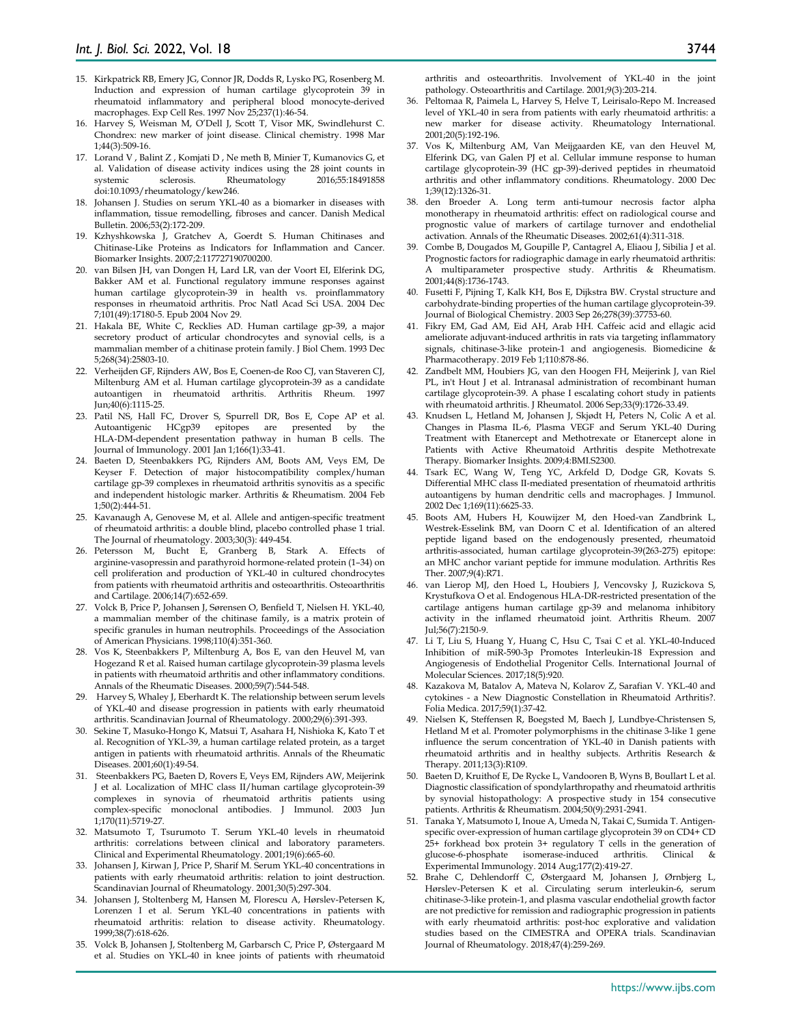- 15. Kirkpatrick RB, Emery JG, Connor JR, Dodds R, Lysko PG, Rosenberg M. Induction and expression of human cartilage glycoprotein 39 in rheumatoid inflammatory and peripheral blood monocyte-derived macrophages. Exp Cell Res. 1997 Nov 25;237(1):46-54.
- 16. Harvey S, Weisman M, O'Dell J, Scott T, Visor MK, Swindlehurst C. Chondrex: new marker of joint disease. Clinical chemistry. 1998 Mar 1;44(3):509-16.
- 17. Lorand V , Balint Z , Komjati D , Ne meth B, Minier T, Kumanovics G, et al. Validation of disease activity indices using the 28 joint counts in systemic sclerosis. Rheumatology 2016;55:18491858 systemic sclerosis. Rheumatology doi:10.1093/rheumatology/kew246.
- 18. Johansen J. Studies on serum YKL-40 as a biomarker in diseases with inflammation, tissue remodelling, fibroses and cancer. Danish Medical Bulletin. 2006;53(2):172-209.
- 19. Kzhyshkowska J, Gratchev A, Goerdt S. Human Chitinases and Chitinase-Like Proteins as Indicators for Inflammation and Cancer. Biomarker Insights. 2007;2:117727190700200.
- 20. van Bilsen JH, van Dongen H, Lard LR, van der Voort EI, Elferink DG, Bakker AM et al. Functional regulatory immune responses against human cartilage glycoprotein-39 in health vs. proinflammatory responses in rheumatoid arthritis. Proc Natl Acad Sci USA. 2004 Dec 7;101(49):17180-5. Epub 2004 Nov 29.
- 21. Hakala BE, White C, Recklies AD. Human cartilage gp-39, a major secretory product of articular chondrocytes and synovial cells, is a mammalian member of a chitinase protein family. J Biol Chem. 1993 Dec 5;268(34):25803-10.
- 22. Verheijden GF, Rijnders AW, Bos E, Coenen-de Roo CJ, van Staveren CJ, Miltenburg AM et al. Human cartilage glycoprotein-39 as a candidate autoantigen in rheumatoid arthritis. Arthritis Rheum. 1997 Jun;40(6):1115-25.
- 23. Patil NS, Hall FC, Drover S, Spurrell DR, Bos E, Cope AP et al. Autoantigenic HCgp39 epitopes are HLA-DM-dependent presentation pathway in human B cells. The Journal of Immunology. 2001 Jan 1;166(1):33-41.
- 24. Baeten D, Steenbakkers PG, Rijnders AM, Boots AM, Veys EM, De Keyser F. Detection of major histocompatibility complex/human cartilage gp‐39 complexes in rheumatoid arthritis synovitis as a specific and independent histologic marker. Arthritis & Rheumatism. 2004 Feb 1;50(2):444-51.
- 25. Kavanaugh A, Genovese M, et al. Allele and antigen-specific treatment of rheumatoid arthritis: a double blind, placebo controlled phase 1 trial. The Journal of rheumatology. 2003;30(3): 449-454.
- 26. Petersson M, Bucht E, Granberg B, Stark A. Effects of arginine-vasopressin and parathyroid hormone-related protein (1–34) on cell proliferation and production of YKL-40 in cultured chondrocytes from patients with rheumatoid arthritis and osteoarthritis. Osteoarthritis and Cartilage. 2006;14(7):652-659.
- 27. Volck B, Price P, Johansen J, Sørensen O, Benfield T, Nielsen H. YKL-40, a mammalian member of the chitinase family, is a matrix protein of specific granules in human neutrophils. Proceedings of the Association of American Physicians. 1998;110(4):351-360.
- 28. Vos K, Steenbakkers P, Miltenburg A, Bos E, van den Heuvel M, van Hogezand R et al. Raised human cartilage glycoprotein-39 plasma levels in patients with rheumatoid arthritis and other inflammatory conditions. Annals of the Rheumatic Diseases. 2000;59(7):544-548.
- 29. Harvey S, Whaley J, Eberhardt K. The relationship between serum levels of YKL-40 and disease progression in patients with early rheumatoid arthritis. Scandinavian Journal of Rheumatology. 2000;29(6):391-393.
- 30. Sekine T, Masuko-Hongo K, Matsui T, Asahara H, Nishioka K, Kato T et al. Recognition of YKL-39, a human cartilage related protein, as a target antigen in patients with rheumatoid arthritis. Annals of the Rheumatic Diseases. 2001;60(1):49-54.
- 31. Steenbakkers PG, Baeten D, Rovers E, Veys EM, Rijnders AW, Meijerink J et al. Localization of MHC class II/human cartilage glycoprotein-39 complexes in synovia of rheumatoid arthritis patients using complex-specific monoclonal antibodies. J Immunol. 2003 Jun 1;170(11):5719-27.
- 32. Matsumoto T, Tsurumoto T. Serum YKL-40 levels in rheumatoid arthritis: correlations between clinical and laboratory parameters. Clinical and Experimental Rheumatology. 2001;19(6):665-60.
- 33. Johansen J, Kirwan J, Price P, Sharif M. Serum YKL-40 concentrations in patients with early rheumatoid arthritis: relation to joint destruction. Scandinavian Journal of Rheumatology. 2001;30(5):297-304.
- 34. Johansen J, Stoltenberg M, Hansen M, Florescu A, Hørslev-Petersen K, Lorenzen I et al. Serum YKL-40 concentrations in patients with rheumatoid arthritis: relation to disease activity. Rheumatology. 1999;38(7):618-626.
- 35. Volck B, Johansen J, Stoltenberg M, Garbarsch C, Price P, Østergaard M et al. Studies on YKL-40 in knee joints of patients with rheumatoid

arthritis and osteoarthritis. Involvement of YKL-40 in the joint pathology. Osteoarthritis and Cartilage. 2001;9(3):203-214.

- 36. Peltomaa R, Paimela L, Harvey S, Helve T, Leirisalo-Repo M. Increased level of YKL-40 in sera from patients with early rheumatoid arthritis: a new marker for disease activity. Rheumatology International. 2001;20(5):192-196.
- 37. Vos K, Miltenburg AM, Van Meijgaarden KE, van den Heuvel M, Elferink DG, van Galen PJ et al. Cellular immune response to human cartilage glycoprotein-39 (HC gp-39)-derived peptides in rheumatoid arthritis and other inflammatory conditions. Rheumatology. 2000 Dec 1;39(12):1326-31.
- 38. den Broeder A. Long term anti-tumour necrosis factor alpha monotherapy in rheumatoid arthritis: effect on radiological course and prognostic value of markers of cartilage turnover and endothelial activation. Annals of the Rheumatic Diseases. 2002;61(4):311-318.
- 39. Combe B, Dougados M, Goupille P, Cantagrel A, Eliaou J, Sibilia J et al. Prognostic factors for radiographic damage in early rheumatoid arthritis: A multiparameter prospective study. Arthritis & Rheumatism. 2001;44(8):1736-1743.
- 40. Fusetti F, Pijning T, Kalk KH, Bos E, Dijkstra BW. Crystal structure and carbohydrate-binding properties of the human cartilage glycoprotein-39. Journal of Biological Chemistry. 2003 Sep 26;278(39):37753-60.
- 41. Fikry EM, Gad AM, Eid AH, Arab HH. Caffeic acid and ellagic acid ameliorate adjuvant-induced arthritis in rats via targeting inflammatory signals, chitinase-3-like protein-1 and angiogenesis. Biomedicine & Pharmacotherapy. 2019 Feb 1;110:878-86.
- 42. Zandbelt MM, Houbiers JG, van den Hoogen FH, Meijerink J, van Riel PL, in't Hout J et al. Intranasal administration of recombinant human cartilage glycoprotein-39. A phase I escalating cohort study in patients with rheumatoid arthritis. J Rheumatol. 2006 Sep;33(9):1726-33.49.
- 43. Knudsen L, Hetland M, Johansen J, Skjødt H, Peters N, Colic A et al. Changes in Plasma IL-6, Plasma VEGF and Serum YKL-40 During Treatment with Etanercept and Methotrexate or Etanercept alone in Patients with Active Rheumatoid Arthritis despite Methotrexate Therapy. Biomarker Insights. 2009;4:BMI.S2300.
- 44. Tsark EC, Wang W, Teng YC, Arkfeld D, Dodge GR, Kovats S. Differential MHC class II-mediated presentation of rheumatoid arthritis autoantigens by human dendritic cells and macrophages. J Immunol. 2002 Dec 1;169(11):6625-33.
- 45. Boots AM, Hubers H, Kouwijzer M, den Hoed-van Zandbrink L, Westrek-Esselink BM, van Doorn C et al. Identification of an altered peptide ligand based on the endogenously presented, rheumatoid arthritis-associated, human cartilage glycoprotein-39(263-275) epitope: an MHC anchor variant peptide for immune modulation. Arthritis Res Ther. 2007;9(4):R71.
- 46. van Lierop MJ, den Hoed L, Houbiers J, Vencovsky J, Ruzickova S, Krystufkova O et al. Endogenous HLA-DR-restricted presentation of the cartilage antigens human cartilage gp-39 and melanoma inhibitory activity in the inflamed rheumatoid joint. Arthritis Rheum. 2007 Jul;56(7):2150-9.
- 47. Li T, Liu S, Huang Y, Huang C, Hsu C, Tsai C et al. YKL-40-Induced Inhibition of miR-590-3p Promotes Interleukin-18 Expression and Angiogenesis of Endothelial Progenitor Cells. International Journal of Molecular Sciences. 2017;18(5):920.
- 48. Kazakova M, Batalov A, Mateva N, Kolarov Z, Sarafian V. YKL-40 and cytokines - a New Diagnostic Constellation in Rheumatoid Arthritis?. Folia Medica. 2017;59(1):37-42.
- 49. Nielsen K, Steffensen R, Boegsted M, Baech J, Lundbye-Christensen S, Hetland M et al. Promoter polymorphisms in the chitinase 3-like 1 gene influence the serum concentration of YKL-40 in Danish patients with rheumatoid arthritis and in healthy subjects. Arthritis Research & Therapy. 2011;13(3):R109.
- 50. Baeten D, Kruithof E, De Rycke L, Vandooren B, Wyns B, Boullart L et al. Diagnostic classification of spondylarthropathy and rheumatoid arthritis by synovial histopathology: A prospective study in 154 consecutive patients. Arthritis & Rheumatism. 2004;50(9):2931-2941.
- 51. Tanaka Y, Matsumoto I, Inoue A, Umeda N, Takai C, Sumida T. Antigen‐ specific over-expression of human cartilage glycoprotein 39 on CD4+ CD 25+ forkhead box protein 3+ regulatory T cells in the generation of glucose‐6‐phosphate isomerase‐induced arthritis. Clinical & Experimental Immunology. 2014 Aug;177(2):419-27.
- 52. Brahe C, Dehlendorff C, Østergaard M, Johansen J, Ørnbjerg L, Hørslev-Petersen K et al. Circulating serum interleukin-6, serum chitinase-3-like protein-1, and plasma vascular endothelial growth factor are not predictive for remission and radiographic progression in patients with early rheumatoid arthritis: post-hoc explorative and validation studies based on the CIMESTRA and OPERA trials. Scandinavian Journal of Rheumatology. 2018;47(4):259-269.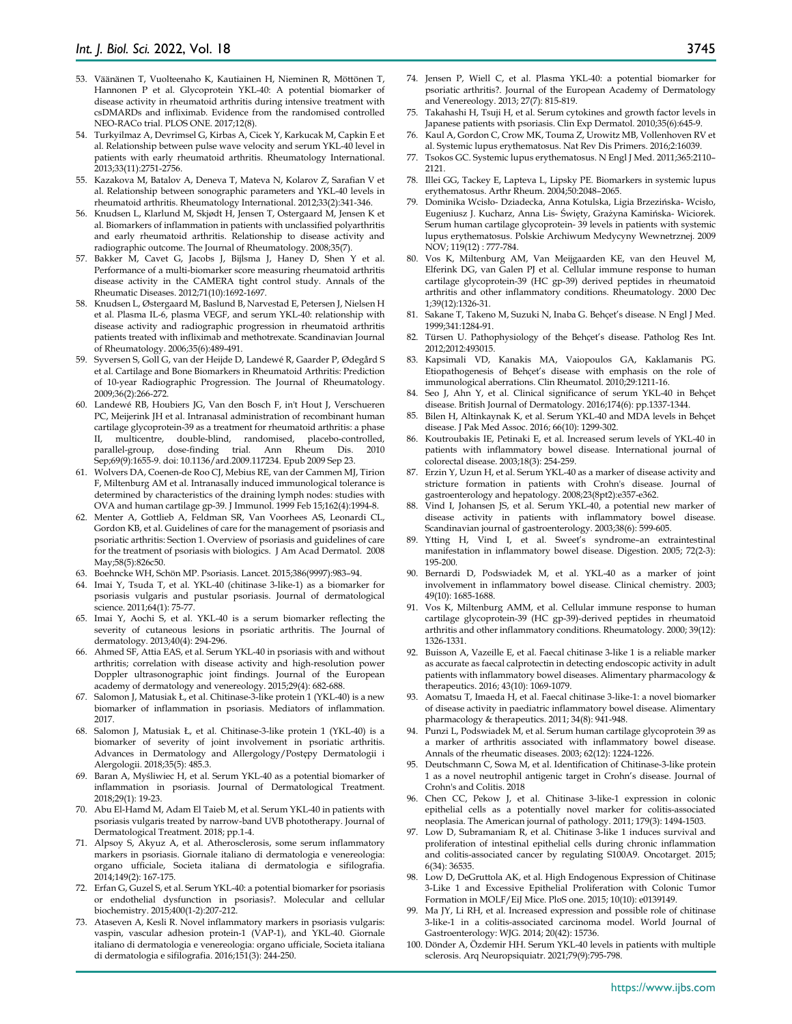- 53. Väänänen T, Vuolteenaho K, Kautiainen H, Nieminen R, Möttönen T, Hannonen P et al. Glycoprotein YKL-40: A potential biomarker of disease activity in rheumatoid arthritis during intensive treatment with csDMARDs and infliximab. Evidence from the randomised controlled NEO-RACo trial. PLOS ONE. 2017;12(8).
- 54. Turkyilmaz A, Devrimsel G, Kirbas A, Cicek Y, Karkucak M, Capkin E et al. Relationship between pulse wave velocity and serum YKL-40 level in patients with early rheumatoid arthritis. Rheumatology International. 2013;33(11):2751-2756.
- 55. Kazakova M, Batalov A, Deneva T, Mateva N, Kolarov Z, Sarafian V et al. Relationship between sonographic parameters and YKL-40 levels in rheumatoid arthritis. Rheumatology International. 2012;33(2):341-346.
- 56. Knudsen L, Klarlund M, Skjødt H, Jensen T, Ostergaard M, Jensen K et al. Biomarkers of inflammation in patients with unclassified polyarthritis and early rheumatoid arthritis. Relationship to disease activity and radiographic outcome. The Journal of Rheumatology. 2008;35(7).
- 57. Bakker M, Cavet G, Jacobs J, Bijlsma J, Haney D, Shen Y et al. Performance of a multi-biomarker score measuring rheumatoid arthritis disease activity in the CAMERA tight control study. Annals of the Rheumatic Diseases. 2012;71(10):1692-1697.
- 58. Knudsen L, Østergaard M, Baslund B, Narvestad E, Petersen J, Nielsen H et al. Plasma IL‐6, plasma VEGF, and serum YKL‐40: relationship with disease activity and radiographic progression in rheumatoid arthritis patients treated with infliximab and methotrexate. Scandinavian Journal of Rheumatology. 2006;35(6):489-491.
- 59. Syversen S, Goll G, van der Heijde D, Landewé R, Gaarder P, Ødegård S et al. Cartilage and Bone Biomarkers in Rheumatoid Arthritis: Prediction of 10-year Radiographic Progression. The Journal of Rheumatology. 2009;36(2):266-272.
- 60. Landewé RB, Houbiers JG, Van den Bosch F, in't Hout J, Verschueren PC, Meijerink JH et al. Intranasal administration of recombinant human cartilage glycoprotein-39 as a treatment for rheumatoid arthritis: a phase II, multicentre, double-blind, randomised, placebo-controlled, parallel-group, dose-finding trial. Ann Rheum Dis. 2010 Sep;69(9):1655-9. doi: 10.1136/ard.2009.117234. Epub 2009 Sep 23.
- 61. Wolvers DA, Coenen-de Roo CJ, Mebius RE, van der Cammen MJ, Tirion F, Miltenburg AM et al. Intranasally induced immunological tolerance is determined by characteristics of the draining lymph nodes: studies with OVA and human cartilage gp-39. J Immunol. 1999 Feb 15;162(4):1994-8.
- 62. Menter A, Gottlieb A, Feldman SR, Van Voorhees AS, Leonardi CL, Gordon KB, et al. Guidelines of care for the management of psoriasis and psoriatic arthritis: Section 1. Overview of psoriasis and guidelines of care for the treatment of psoriasis with biologics. J Am Acad Dermatol. 2008 May;58(5):826c50.
- 63. Boehncke WH, Schön MP. Psoriasis. Lancet. 2015;386(9997):983–94.
- 64. Imai Y, Tsuda T, et al. YKL-40 (chitinase 3-like-1) as a biomarker for psoriasis vulgaris and pustular psoriasis. Journal of dermatological science. 2011;64(1): 75-77.
- 65. Imai Y, Aochi S, et al. YKL‐40 is a serum biomarker reflecting the severity of cutaneous lesions in psoriatic arthritis. The Journal of dermatology. 2013;40(4): 294-296.
- 66. Ahmed SF, Attia EAS, et al. Serum YKL‐40 in psoriasis with and without arthritis; correlation with disease activity and high‐resolution power Doppler ultrasonographic joint findings. Journal of the European academy of dermatology and venereology. 2015;29(4): 682-688.
- 67. Salomon J, Matusiak Ł, et al. Chitinase-3-like protein 1 (YKL-40) is a new biomarker of inflammation in psoriasis. Mediators of inflammation. 2017.
- 68. Salomon J, Matusiak Ł, et al. Chitinase-3-like protein 1 (YKL-40) is a biomarker of severity of joint involvement in psoriatic arthritis. Advances in Dermatology and Allergology/Postępy Dermatologii i Alergologii. 2018;35(5): 485.3.
- 69. Baran A, Myśliwiec H, et al. Serum YKL-40 as a potential biomarker of inflammation in psoriasis. Journal of Dermatological Treatment. 2018;29(1): 19-23.
- 70. Abu El-Hamd M, Adam El Taieb M, et al. Serum YKL-40 in patients with psoriasis vulgaris treated by narrow-band UVB phototherapy. Journal of Dermatological Treatment. 2018; pp.1-4.
- 71. Alpsoy S, Akyuz A, et al. Atherosclerosis, some serum inflammatory markers in psoriasis. Giornale italiano di dermatologia e venereologia: organo ufficiale, Societa italiana di dermatologia e sifilografia. 2014;149(2): 167-175.
- 72. Erfan G, Guzel S, et al. Serum YKL-40: a potential biomarker for psoriasis or endothelial dysfunction in psoriasis?. Molecular and cellular biochemistry. 2015;400(1-2):207-212.
- 73. Ataseven A, Kesli R. Novel inflammatory markers in psoriasis vulgaris: vaspin, vascular adhesion protein-1 (VAP-1), and YKL-40. Giornale italiano di dermatologia e venereologia: organo ufficiale, Societa italiana di dermatologia e sifilografia. 2016;151(3): 244-250.
- 74. Jensen P, Wiell C, et al. Plasma YKL‐40: a potential biomarker for psoriatic arthritis?. Journal of the European Academy of Dermatology and Venereology. 2013; 27(7): 815-819.
- 75. Takahashi H, Tsuji H, et al. Serum cytokines and growth factor levels in Japanese patients with psoriasis. Clin Exp Dermatol. 2010;35(6):645-9.
- 76. Kaul A, Gordon C, Crow MK, Touma Z, Urowitz MB, Vollenhoven RV et al. Systemic lupus erythematosus. Nat Rev Dis Primers. 2016;2:16039.
- 77. Tsokos GC. Systemic lupus erythematosus. N Engl J Med. 2011;365:2110– 2121.
- 78. Illei GG, Tackey E, Lapteva L, Lipsky PE. Biomarkers in systemic lupus erythematosus. Arthr Rheum. 2004;50:2048–2065.
- 79. Dominika Wcisło- Dziadecka, Anna Kotulska, Ligia Brzezińska- Wcisło, Eugeniusz J. Kucharz, Anna Lis- Święty, Grażyna Kamińska- Wiciorek. Serum human cartilage glycoprotein- 39 levels in patients with systemic lupus erythematosus. Polskie Archiwum Medycyny Wewnetrznej. 2009 NOV; 119(12) : 777-784.
- 80. Vos K, Miltenburg AM, Van Meijgaarden KE, van den Heuvel M, Elferink DG, van Galen PJ et al. Cellular immune response to human cartilage glycoprotein-39 (HC gp-39) derived peptides in rheumatoid arthritis and other inflammatory conditions. Rheumatology. 2000 Dec 1;39(12):1326-31.
- 81. Sakane T, Takeno M, Suzuki N, Inaba G. Behçet's disease. N Engl J Med. 1999;341:1284-91.
- 82. Türsen U. Pathophysiology of the Behçet's disease. Patholog Res Int. 2012;2012:493015.
- 83. Kapsimali VD, Kanakis MA, Vaiopoulos GA, Kaklamanis PG. Etiopathogenesis of Behçet's disease with emphasis on the role of immunological aberrations. Clin Rheumatol. 2010;29:1211-16.
- 84. Seo J, Ahn Y, et al. Clinical significance of serum YKL-40 in Behçet disease. British Journal of Dermatology. 2016;174(6): pp.1337-1344.
- 85. Bilen H, Altinkaynak K, et al. Serum YKL-40 and MDA levels in Behçet disease. J Pak Med Assoc. 2016; 66(10): 1299-302.
- 86. Koutroubakis IE, Petinaki E, et al. Increased serum levels of YKL-40 in patients with inflammatory bowel disease. International journal of colorectal disease. 2003;18(3): 254-259.
- 87. Erzin Y, Uzun H, et al. Serum YKL‐40 as a marker of disease activity and stricture formation in patients with Crohn's disease. Journal of gastroenterology and hepatology. 2008;23(8pt2):e357-e362.
- 88. Vind I, Johansen JS, et al. Serum YKL-40, a potential new marker of disease activity in patients with inflammatory bowel disease. Scandinavian journal of gastroenterology. 2003;38(6): 599-605.
- 89. Ytting H, Vind I, et al. Sweet's syndrome–an extraintestinal manifestation in inflammatory bowel disease. Digestion. 2005; 72(2-3): 195-200.
- 90. Bernardi D, Podswiadek M, et al. YKL-40 as a marker of joint involvement in inflammatory bowel disease. Clinical chemistry. 2003; 49(10): 1685-1688.
- 91. Vos K, Miltenburg AMM, et al. Cellular immune response to human cartilage glycoprotein‐39 (HC gp‐39)‐derived peptides in rheumatoid arthritis and other inflammatory conditions. Rheumatology. 2000; 39(12): 1326-1331.
- 92. Buisson A, Vazeille E, et al. Faecal chitinase 3-like 1 is a reliable marker as accurate as faecal calprotectin in detecting endoscopic activity in adult patients with inflammatory bowel diseases. Alimentary pharmacology & therapeutics. 2016; 43(10): 1069-1079.
- 93. Aomatsu T, Imaeda H, et al. Faecal chitinase 3‐like‐1: a novel biomarker of disease activity in paediatric inflammatory bowel disease. Alimentary pharmacology & therapeutics. 2011; 34(8): 941-948.
- 94. Punzi L, Podswiadek M, et al. Serum human cartilage glycoprotein 39 as a marker of arthritis associated with inflammatory bowel disease. Annals of the rheumatic diseases. 2003; 62(12): 1224-1226.
- 95. Deutschmann C, Sowa M, et al. Identification of Chitinase-3-like protein 1 as a novel neutrophil antigenic target in Crohn's disease. Journal of Crohn's and Colitis. 2018
- 96. Chen CC, Pekow J, et al. Chitinase 3-like-1 expression in colonic epithelial cells as a potentially novel marker for colitis-associated neoplasia. The American journal of pathology. 2011; 179(3): 1494-1503.
- 97. Low D, Subramaniam R, et al. Chitinase 3-like 1 induces survival and proliferation of intestinal epithelial cells during chronic inflammation and colitis-associated cancer by regulating S100A9. Oncotarget. 2015; 6(34): 36535.
- 98. Low D, DeGruttola AK, et al. High Endogenous Expression of Chitinase 3-Like 1 and Excessive Epithelial Proliferation with Colonic Tumor Formation in MOLF/EiJ Mice. PloS one. 2015; 10(10): e0139149.
- Ma JY, Li RH, et al. Increased expression and possible role of chitinase 3-like-1 in a colitis-associated carcinoma model. World Journal of Gastroenterology: WJG. 2014; 20(42): 15736.
- 100. Dönder A, Özdemir HH. Serum YKL-40 levels in patients with multiple sclerosis. Arq Neuropsiquiatr. 2021;79(9):795-798.